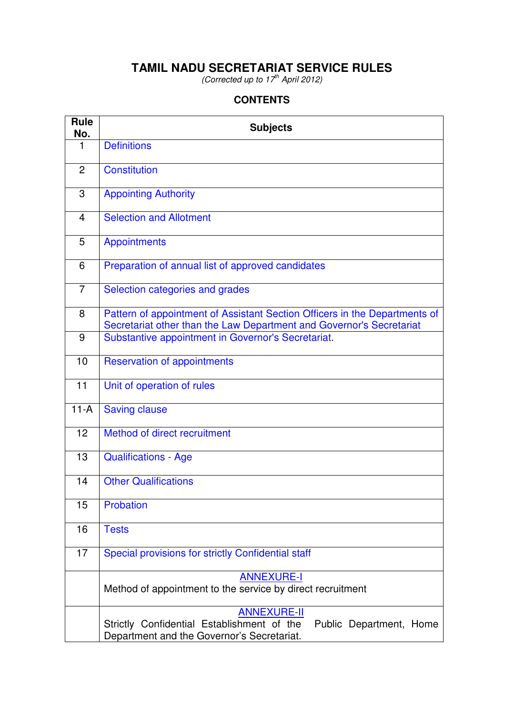# **TAMIL NADU SECRETARIAT SERVICE RULES**

(Corrected up to  $17^{th}$  April 2012)

## **CONTENTS**

| <b>Rule</b><br>No. | <b>Subjects</b>                                                                                                                                    |  |  |  |  |  |  |  |
|--------------------|----------------------------------------------------------------------------------------------------------------------------------------------------|--|--|--|--|--|--|--|
| 1                  | <b>Definitions</b>                                                                                                                                 |  |  |  |  |  |  |  |
| $\overline{2}$     | <b>Constitution</b>                                                                                                                                |  |  |  |  |  |  |  |
| 3                  | <b>Appointing Authority</b>                                                                                                                        |  |  |  |  |  |  |  |
| $\overline{4}$     | <b>Selection and Allotment</b>                                                                                                                     |  |  |  |  |  |  |  |
| 5                  | <b>Appointments</b>                                                                                                                                |  |  |  |  |  |  |  |
| 6                  | Preparation of annual list of approved candidates                                                                                                  |  |  |  |  |  |  |  |
| $\overline{7}$     | Selection categories and grades                                                                                                                    |  |  |  |  |  |  |  |
| 8                  | Pattern of appointment of Assistant Section Officers in the Departments of<br>Secretariat other than the Law Department and Governor's Secretariat |  |  |  |  |  |  |  |
| 9                  | Substantive appointment in Governor's Secretariat.                                                                                                 |  |  |  |  |  |  |  |
| 10                 | <b>Reservation of appointments</b>                                                                                                                 |  |  |  |  |  |  |  |
| 11                 | Unit of operation of rules                                                                                                                         |  |  |  |  |  |  |  |
| $11-A$             | <b>Saving clause</b>                                                                                                                               |  |  |  |  |  |  |  |
| 12                 | Method of direct recruitment                                                                                                                       |  |  |  |  |  |  |  |
| 13                 | <b>Qualifications - Age</b>                                                                                                                        |  |  |  |  |  |  |  |
| 14                 | <b>Other Qualifications</b>                                                                                                                        |  |  |  |  |  |  |  |
| 15                 | Probation                                                                                                                                          |  |  |  |  |  |  |  |
| 16                 | <b>Tests</b>                                                                                                                                       |  |  |  |  |  |  |  |
| 17                 | Special provisions for strictly Confidential staff                                                                                                 |  |  |  |  |  |  |  |
|                    | <b>ANNEXURE-I</b><br>Method of appointment to the service by direct recruitment                                                                    |  |  |  |  |  |  |  |
|                    | <b>ANNEXURE-II</b><br>Strictly Confidential Establishment of the<br>Public Department, Home<br>Department and the Governor's Secretariat.          |  |  |  |  |  |  |  |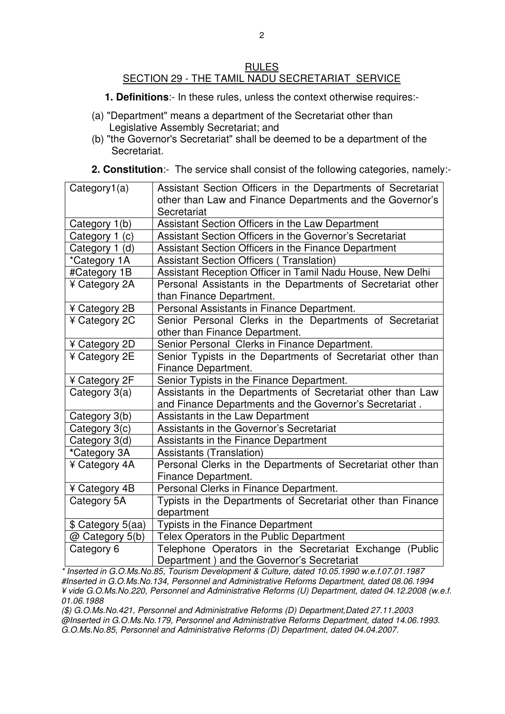#### RULES SECTION 29 - THE TAMIL NADU SECRETARIAT SERVICE

- **1. Definitions**:- In these rules, unless the context otherwise requires:-
- (a) "Department" means a department of the Secretariat other than Legislative Assembly Secretariat; and
- (b) "the Governor's Secretariat" shall be deemed to be a department of the Secretariat.
- **2. Constitution**:- The service shall consist of the following categories, namely:-

| Category1(a)      | Assistant Section Officers in the Departments of Secretariat                                          |  |  |  |
|-------------------|-------------------------------------------------------------------------------------------------------|--|--|--|
|                   | other than Law and Finance Departments and the Governor's                                             |  |  |  |
|                   | Secretariat                                                                                           |  |  |  |
| Category 1(b)     | Assistant Section Officers in the Law Department                                                      |  |  |  |
| Category 1 (c)    | Assistant Section Officers in the Governor's Secretariat                                              |  |  |  |
| Category 1 (d)    | Assistant Section Officers in the Finance Department                                                  |  |  |  |
| *Category 1A      | <b>Assistant Section Officers (Translation)</b>                                                       |  |  |  |
| #Category 1B      | Assistant Reception Officer in Tamil Nadu House, New Delhi                                            |  |  |  |
| ¥ Category 2A     | Personal Assistants in the Departments of Secretariat other                                           |  |  |  |
|                   | than Finance Department.                                                                              |  |  |  |
| ¥ Category 2B     | Personal Assistants in Finance Department.                                                            |  |  |  |
| ¥ Category 2C     | Senior Personal Clerks in the Departments of Secretariat                                              |  |  |  |
|                   | other than Finance Department.                                                                        |  |  |  |
| ¥ Category 2D     | Senior Personal Clerks in Finance Department.                                                         |  |  |  |
| ¥ Category 2E     | Senior Typists in the Departments of Secretariat other than                                           |  |  |  |
|                   | Finance Department.                                                                                   |  |  |  |
| ¥ Category 2F     | Senior Typists in the Finance Department.                                                             |  |  |  |
| Category 3(a)     | Assistants in the Departments of Secretariat other than Law                                           |  |  |  |
|                   | and Finance Departments and the Governor's Secretariat.                                               |  |  |  |
| Category 3(b)     | Assistants in the Law Department                                                                      |  |  |  |
|                   |                                                                                                       |  |  |  |
| Category 3(c)     | Assistants in the Governor's Secretariat                                                              |  |  |  |
| Category 3(d)     | Assistants in the Finance Department                                                                  |  |  |  |
| *Category 3A      | <b>Assistants (Translation)</b>                                                                       |  |  |  |
| ¥ Category 4A     | Personal Clerks in the Departments of Secretariat other than                                          |  |  |  |
|                   | Finance Department.                                                                                   |  |  |  |
| ¥ Category 4B     | Personal Clerks in Finance Department.                                                                |  |  |  |
| Category 5A       | Typists in the Departments of Secretariat other than Finance                                          |  |  |  |
|                   | department                                                                                            |  |  |  |
| \$ Category 5(aa) | Typists in the Finance Department                                                                     |  |  |  |
| @ Category 5(b)   | Telex Operators in the Public Department                                                              |  |  |  |
| Category 6        | Telephone Operators in the Secretariat Exchange (Public<br>Department) and the Governor's Secretariat |  |  |  |

\* Inserted in G.O.Ms.No.85, Tourism Development & Culture, dated 10.05.1990 w.e.f.07.01.1987 #Inserted in G.O.Ms.No.134, Personnel and Administrative Reforms Department, dated 08.06.1994 ¥ vide G.O.Ms.No.220, Personnel and Administrative Reforms (U) Department, dated 04.12.2008 (w.e.f. 01.06.1988

(\$) G.O.Ms.No.421, Personnel and Administrative Reforms (D) Department,Dated 27.11.2003 @Inserted in G.O.Ms.No.179, Personnel and Administrative Reforms Department, dated 14.06.1993. G.O.Ms.No.85, Personnel and Administrative Reforms (D) Department, dated 04.04.2007.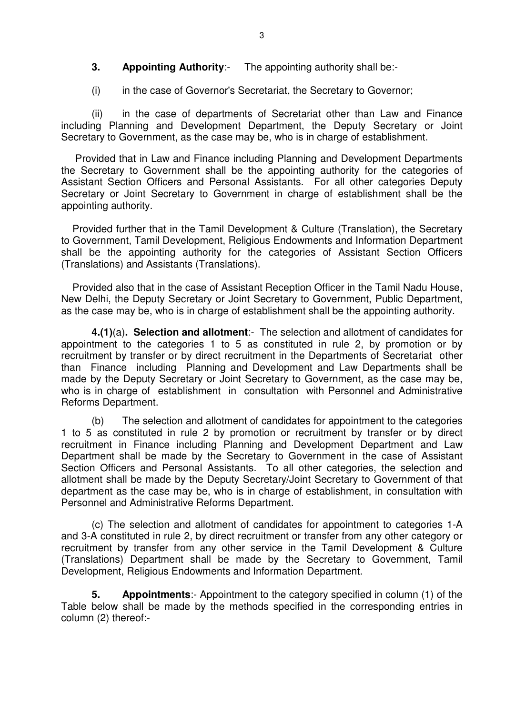#### **3.** Appointing Authority:- The appointing authority shall be:-

(i) in the case of Governor's Secretariat, the Secretary to Governor;

 (ii) in the case of departments of Secretariat other than Law and Finance including Planning and Development Department, the Deputy Secretary or Joint Secretary to Government, as the case may be, who is in charge of establishment.

 Provided that in Law and Finance including Planning and Development Departments the Secretary to Government shall be the appointing authority for the categories of Assistant Section Officers and Personal Assistants. For all other categories Deputy Secretary or Joint Secretary to Government in charge of establishment shall be the appointing authority.

 Provided further that in the Tamil Development & Culture (Translation), the Secretary to Government, Tamil Development, Religious Endowments and Information Department shall be the appointing authority for the categories of Assistant Section Officers (Translations) and Assistants (Translations).

 Provided also that in the case of Assistant Reception Officer in the Tamil Nadu House, New Delhi, the Deputy Secretary or Joint Secretary to Government, Public Department, as the case may be, who is in charge of establishment shall be the appointing authority.

**4.(1)**(a)**. Selection and allotment**:- The selection and allotment of candidates for appointment to the categories 1 to 5 as constituted in rule 2, by promotion or by recruitment by transfer or by direct recruitment in the Departments of Secretariat other than Finance including Planning and Development and Law Departments shall be made by the Deputy Secretary or Joint Secretary to Government, as the case may be, who is in charge of establishment in consultation with Personnel and Administrative Reforms Department.

 (b) The selection and allotment of candidates for appointment to the categories 1 to 5 as constituted in rule 2 by promotion or recruitment by transfer or by direct recruitment in Finance including Planning and Development Department and Law Department shall be made by the Secretary to Government in the case of Assistant Section Officers and Personal Assistants. To all other categories, the selection and allotment shall be made by the Deputy Secretary/Joint Secretary to Government of that department as the case may be, who is in charge of establishment, in consultation with Personnel and Administrative Reforms Department.

 (c) The selection and allotment of candidates for appointment to categories 1-A and 3-A constituted in rule 2, by direct recruitment or transfer from any other category or recruitment by transfer from any other service in the Tamil Development & Culture (Translations) Department shall be made by the Secretary to Government, Tamil Development, Religious Endowments and Information Department.

**5. Appointments**:- Appointment to the category specified in column (1) of the Table below shall be made by the methods specified in the corresponding entries in column (2) thereof:-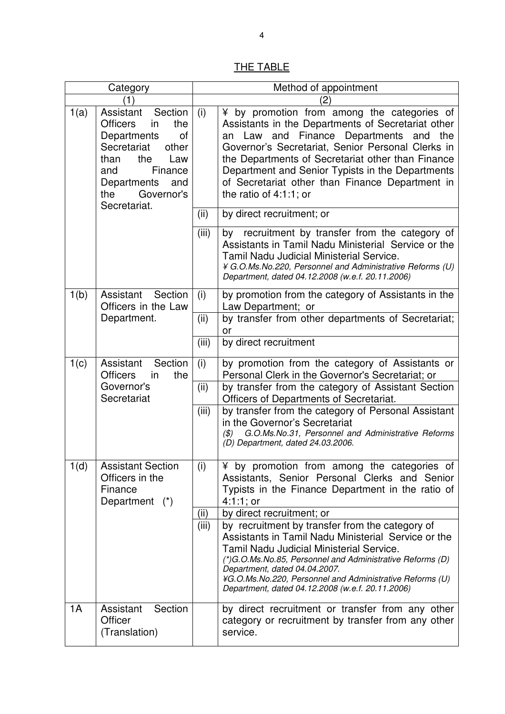# THE TABLE

| Category                                                                                                                                                                                                     |                                                                          | Method of appointment |                                                                                                                                                                                                                                                                                                                                                                                           |  |  |
|--------------------------------------------------------------------------------------------------------------------------------------------------------------------------------------------------------------|--------------------------------------------------------------------------|-----------------------|-------------------------------------------------------------------------------------------------------------------------------------------------------------------------------------------------------------------------------------------------------------------------------------------------------------------------------------------------------------------------------------------|--|--|
| $\mathbf{1}$                                                                                                                                                                                                 |                                                                          | $\left( 2\right)$     |                                                                                                                                                                                                                                                                                                                                                                                           |  |  |
| Assistant<br>Section<br>1(a)<br><b>Officers</b><br>in<br>the<br>Departments<br>οf<br>Secretariat<br>other<br>the<br>Law<br>than<br>Finance<br>and<br>Departments<br>and<br>Governor's<br>the<br>Secretariat. |                                                                          | (i)                   | ¥ by promotion from among the categories of<br>Assistants in the Departments of Secretariat other<br>an Law and Finance Departments and the<br>Governor's Secretariat, Senior Personal Clerks in<br>the Departments of Secretariat other than Finance<br>Department and Senior Typists in the Departments<br>of Secretariat other than Finance Department in<br>the ratio of $4:1:1$ ; or |  |  |
|                                                                                                                                                                                                              |                                                                          | (ii)                  | by direct recruitment; or                                                                                                                                                                                                                                                                                                                                                                 |  |  |
|                                                                                                                                                                                                              |                                                                          | (iii)                 | by recruitment by transfer from the category of<br>Assistants in Tamil Nadu Ministerial Service or the<br><b>Tamil Nadu Judicial Ministerial Service.</b><br>¥ G.O.Ms.No.220, Personnel and Administrative Reforms (U)<br>Department, dated 04.12.2008 (w.e.f. 20.11.2006)                                                                                                                |  |  |
| 1(b)                                                                                                                                                                                                         | Assistant Section<br>Officers in the Law                                 | (i)                   | by promotion from the category of Assistants in the<br>Law Department; or                                                                                                                                                                                                                                                                                                                 |  |  |
|                                                                                                                                                                                                              | Department.                                                              | (ii)                  | by transfer from other departments of Secretariat;<br>or                                                                                                                                                                                                                                                                                                                                  |  |  |
|                                                                                                                                                                                                              |                                                                          | (iii)                 | by direct recruitment                                                                                                                                                                                                                                                                                                                                                                     |  |  |
| 1(c)                                                                                                                                                                                                         | Assistant<br>Section<br><b>Officers</b><br>the<br>in                     | (i)                   | by promotion from the category of Assistants or<br>Personal Clerk in the Governor's Secretariat; or                                                                                                                                                                                                                                                                                       |  |  |
|                                                                                                                                                                                                              | Governor's<br>Secretariat                                                | (ii)                  | by transfer from the category of Assistant Section<br>Officers of Departments of Secretariat.                                                                                                                                                                                                                                                                                             |  |  |
|                                                                                                                                                                                                              |                                                                          | (iii)                 | by transfer from the category of Personal Assistant<br>in the Governor's Secretariat<br>G.O.Ms.No.31, Personnel and Administrative Reforms<br>(3)<br>(D) Department, dated 24.03.2006.                                                                                                                                                                                                    |  |  |
| 1(d)                                                                                                                                                                                                         | <b>Assistant Section</b><br>Officers in the<br>Finance<br>Department (*) | (i)                   | ¥ by promotion from among the categories of<br>Assistants, Senior Personal Clerks and Senior<br>Typists in the Finance Department in the ratio of<br>$4:1:1;$ or                                                                                                                                                                                                                          |  |  |
|                                                                                                                                                                                                              |                                                                          | (ii)                  | by direct recruitment; or                                                                                                                                                                                                                                                                                                                                                                 |  |  |
|                                                                                                                                                                                                              |                                                                          | (iii)                 | by recruitment by transfer from the category of<br>Assistants in Tamil Nadu Ministerial Service or the<br><b>Tamil Nadu Judicial Ministerial Service.</b><br>(*)G.O.Ms.No.85, Personnel and Administrative Reforms (D)<br>Department, dated 04.04.2007.<br>¥G.O.Ms.No.220, Personnel and Administrative Reforms (U)<br>Department, dated 04.12.2008 (w.e.f. 20.11.2006)                   |  |  |
| 1A                                                                                                                                                                                                           | Section<br>Assistant<br>Officer<br>(Translation)                         |                       | by direct recruitment or transfer from any other<br>category or recruitment by transfer from any other<br>service.                                                                                                                                                                                                                                                                        |  |  |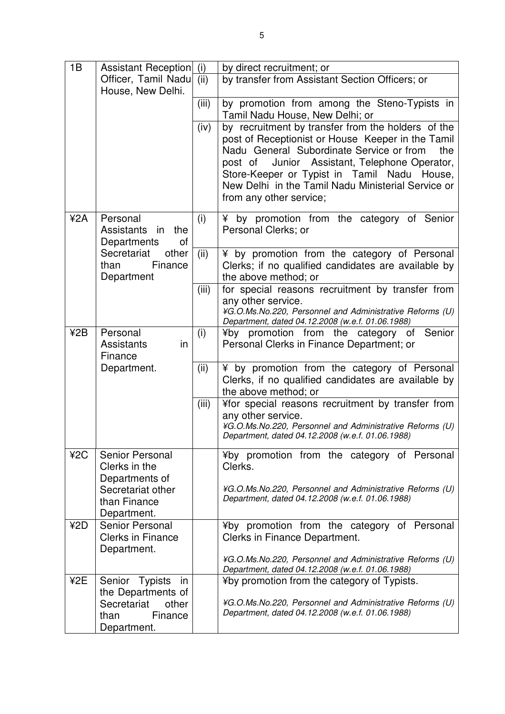| 1B  | <b>Assistant Reception</b>                | (i)   | by direct recruitment; or                                                                           |  |  |
|-----|-------------------------------------------|-------|-----------------------------------------------------------------------------------------------------|--|--|
|     | Officer, Tamil Nadu                       | (ii)  | by transfer from Assistant Section Officers; or                                                     |  |  |
|     | House, New Delhi.                         |       |                                                                                                     |  |  |
|     |                                           | (iii) | by promotion from among the Steno-Typists in                                                        |  |  |
|     |                                           |       | Tamil Nadu House, New Delhi; or                                                                     |  |  |
|     |                                           | (iv)  | by recruitment by transfer from the holders of the                                                  |  |  |
|     |                                           |       | post of Receptionist or House Keeper in the Tamil                                                   |  |  |
|     |                                           |       | Nadu General Subordinate Service or from<br>the                                                     |  |  |
|     |                                           |       | Junior Assistant, Telephone Operator,<br>post of<br>Store-Keeper or Typist in Tamil Nadu House,     |  |  |
|     |                                           |       | New Delhi in the Tamil Nadu Ministerial Service or                                                  |  |  |
|     |                                           |       | from any other service;                                                                             |  |  |
|     |                                           |       |                                                                                                     |  |  |
| ¥2A | Personal                                  | (i)   | ¥ by promotion from the category of Senior                                                          |  |  |
|     | the<br>Assistants<br>in                   |       | Personal Clerks; or                                                                                 |  |  |
|     | Departments<br>of<br>Secretariat<br>other |       |                                                                                                     |  |  |
|     | Finance<br>than                           | (ii)  | ¥ by promotion from the category of Personal<br>Clerks; if no qualified candidates are available by |  |  |
|     | Department                                |       | the above method; or                                                                                |  |  |
|     |                                           | (iii) | for special reasons recruitment by transfer from                                                    |  |  |
|     |                                           |       | any other service.                                                                                  |  |  |
|     |                                           |       | ¥G.O.Ms.No.220, Personnel and Administrative Reforms (U)                                            |  |  |
| 42B | Personal                                  |       | Department, dated 04.12.2008 (w.e.f. 01.06.1988)<br>¥by promotion from the category of Senior       |  |  |
|     | <b>Assistants</b><br>in                   | (i)   | Personal Clerks in Finance Department; or                                                           |  |  |
|     | Finance                                   |       |                                                                                                     |  |  |
|     | Department.                               | (ii)  | ¥ by promotion from the category of Personal                                                        |  |  |
|     |                                           |       | Clerks, if no qualified candidates are available by                                                 |  |  |
|     |                                           |       | the above method; or                                                                                |  |  |
|     |                                           | (iii) | ¥for special reasons recruitment by transfer from                                                   |  |  |
|     |                                           |       | any other service.<br>¥G.O.Ms.No.220, Personnel and Administrative Reforms (U)                      |  |  |
|     |                                           |       | Department, dated 04.12.2008 (w.e.f. 01.06.1988)                                                    |  |  |
|     |                                           |       |                                                                                                     |  |  |
| ¥2C | Senior Personal<br>Clerks in the          |       | ¥by promotion from the category of Personal<br>Clerks.                                              |  |  |
|     | Departments of                            |       |                                                                                                     |  |  |
|     | Secretariat other                         |       | ¥G.O.Ms.No.220, Personnel and Administrative Reforms (U)                                            |  |  |
|     | than Finance                              |       | Department, dated 04.12.2008 (w.e.f. 01.06.1988)                                                    |  |  |
|     | Department.                               |       |                                                                                                     |  |  |
| ¥2D | Senior Personal                           |       | ¥by promotion from the category of Personal                                                         |  |  |
|     | <b>Clerks in Finance</b>                  |       | Clerks in Finance Department.                                                                       |  |  |
|     | Department.                               |       | ¥G.O.Ms.No.220, Personnel and Administrative Reforms (U)                                            |  |  |
|     |                                           |       | Department, dated 04.12.2008 (w.e.f. 01.06.1988)                                                    |  |  |
| ¥2E | Senior Typists<br>in                      |       | ¥by promotion from the category of Typists.                                                         |  |  |
|     | the Departments of                        |       |                                                                                                     |  |  |
|     | Secretariat<br>other                      |       | ¥G.O.Ms.No.220, Personnel and Administrative Reforms (U)                                            |  |  |
|     | Finance<br>than                           |       | Department, dated 04.12.2008 (w.e.f. 01.06.1988)                                                    |  |  |
|     | Department.                               |       |                                                                                                     |  |  |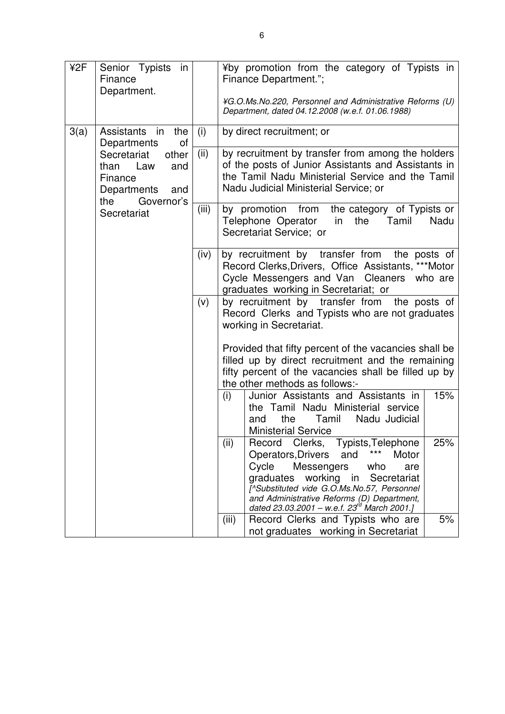| ¥2F  | Senior Typists in<br>Finance<br>Department.                                                                           |       | ¥by promotion from the category of Typists in<br>Finance Department.";<br>¥G.O.Ms.No.220, Personnel and Administrative Reforms (U)<br>Department, dated 04.12.2008 (w.e.f. 01.06.1988)                                                                                                                                       |     |                           |
|------|-----------------------------------------------------------------------------------------------------------------------|-------|------------------------------------------------------------------------------------------------------------------------------------------------------------------------------------------------------------------------------------------------------------------------------------------------------------------------------|-----|---------------------------|
| 3(a) | Assistants in<br>the<br>Departments<br>οf<br>Secretariat<br>other<br>than Law<br>and<br>Finance<br>Departments<br>and |       |                                                                                                                                                                                                                                                                                                                              | (i) | by direct recruitment; or |
|      |                                                                                                                       | (ii)  | by recruitment by transfer from among the holders<br>of the posts of Junior Assistants and Assistants in<br>the Tamil Nadu Ministerial Service and the Tamil<br>Nadu Judicial Ministerial Service; or                                                                                                                        |     |                           |
|      | Governor's<br>the<br>Secretariat                                                                                      | (iii) | by promotion from the category of Typists or<br>Telephone Operator in<br>the<br>Tamil<br>Nadu<br>Secretariat Service; or                                                                                                                                                                                                     |     |                           |
|      |                                                                                                                       | (iv)  | by recruitment by transfer from the posts of<br>Record Clerks, Drivers, Office Assistants, *** Motor<br>Cycle Messengers and Van Cleaners who are<br>graduates working in Secretariat; or                                                                                                                                    |     |                           |
|      |                                                                                                                       | (v)   | by recruitment by transfer from the posts of<br>Record Clerks and Typists who are not graduates<br>working in Secretariat.                                                                                                                                                                                                   |     |                           |
|      |                                                                                                                       |       | Provided that fifty percent of the vacancies shall be<br>filled up by direct recruitment and the remaining<br>fifty percent of the vacancies shall be filled up by<br>the other methods as follows:-                                                                                                                         |     |                           |
|      |                                                                                                                       |       | 15%<br>(i)<br>Junior Assistants and Assistants in<br>the Tamil Nadu Ministerial service<br>Tamil<br>Nadu Judicial<br>the<br>and<br><b>Ministerial Service</b>                                                                                                                                                                |     |                           |
|      |                                                                                                                       |       | Clerks, Typists, Telephone<br>(ii)<br>Record<br>25%<br>***<br>Operators, Drivers<br>and<br>Motor<br>Cycle<br>Messengers<br>who<br>are<br>graduates working in<br>Secretariat<br>[^Substituted vide G.O.Ms.No.57, Personnel<br>and Administrative Reforms (D) Department,<br>dated 23.03.2001 – w.e.f. $23^{rd}$ March 2001.] |     |                           |
|      |                                                                                                                       |       | Record Clerks and Typists who are<br>5%<br>(iii)<br>not graduates working in Secretariat                                                                                                                                                                                                                                     |     |                           |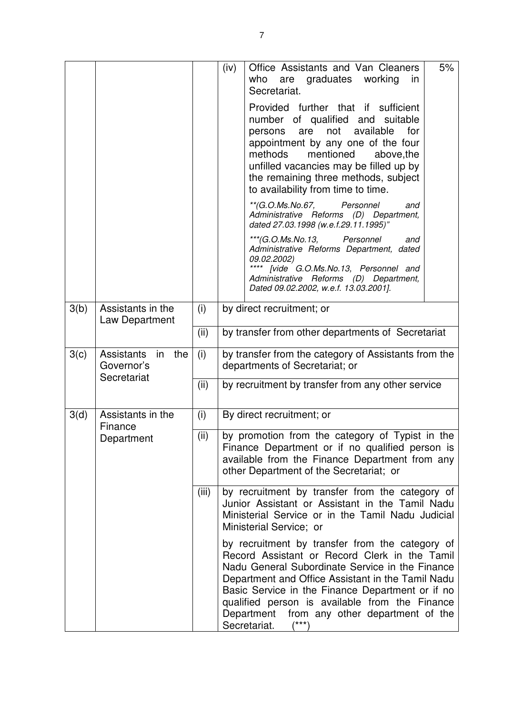|                       |                                       |       | (iv)                                                                                                                                                                                            | Office Assistants and Van Cleaners<br>who<br>graduates<br>working<br>are<br>in<br>Secretariat.                                                                                                                                                                                                                                                                                            | 5% |  |
|-----------------------|---------------------------------------|-------|-------------------------------------------------------------------------------------------------------------------------------------------------------------------------------------------------|-------------------------------------------------------------------------------------------------------------------------------------------------------------------------------------------------------------------------------------------------------------------------------------------------------------------------------------------------------------------------------------------|----|--|
|                       |                                       |       |                                                                                                                                                                                                 | Provided further that if sufficient<br>number of qualified and suitable<br>available<br>not<br>for<br>persons<br>are<br>appointment by any one of the four<br>mentioned<br>methods<br>above, the<br>unfilled vacancies may be filled up by<br>the remaining three methods, subject<br>to availability from time to time.                                                                  |    |  |
|                       |                                       |       |                                                                                                                                                                                                 | **(G.O.Ms.No.67, Personnel<br>and<br>Administrative Reforms (D) Department,<br>dated 27.03.1998 (w.e.f.29.11.1995)"                                                                                                                                                                                                                                                                       |    |  |
|                       |                                       |       |                                                                                                                                                                                                 | ***(G.O.Ms.No.13,<br>Personnel<br>and<br>Administrative Reforms Department, dated<br>09.02.2002)<br>**** [vide G.O.Ms.No.13, Personnel and<br>Administrative Reforms (D) Department,                                                                                                                                                                                                      |    |  |
|                       |                                       |       |                                                                                                                                                                                                 | Dated 09.02.2002, w.e.f. 13.03.2001].                                                                                                                                                                                                                                                                                                                                                     |    |  |
| 3(b)                  | Assistants in the<br>Law Department   | (i)   | by direct recruitment; or                                                                                                                                                                       |                                                                                                                                                                                                                                                                                                                                                                                           |    |  |
|                       |                                       | (ii)  |                                                                                                                                                                                                 | by transfer from other departments of Secretariat                                                                                                                                                                                                                                                                                                                                         |    |  |
| 3(c)                  | Assistants<br>in<br>the<br>Governor's | (i)   | by transfer from the category of Assistants from the<br>departments of Secretariat; or                                                                                                          |                                                                                                                                                                                                                                                                                                                                                                                           |    |  |
| Secretariat           |                                       | (ii)  | by recruitment by transfer from any other service                                                                                                                                               |                                                                                                                                                                                                                                                                                                                                                                                           |    |  |
| 3(d)                  | Assistants in the                     | (i)   |                                                                                                                                                                                                 | By direct recruitment; or                                                                                                                                                                                                                                                                                                                                                                 |    |  |
| Finance<br>Department |                                       | (ii)  | by promotion from the category of Typist in the<br>Finance Department or if no qualified person is<br>available from the Finance Department from any<br>other Department of the Secretariat; or |                                                                                                                                                                                                                                                                                                                                                                                           |    |  |
|                       |                                       | (iii) |                                                                                                                                                                                                 | by recruitment by transfer from the category of<br>Junior Assistant or Assistant in the Tamil Nadu<br>Ministerial Service or in the Tamil Nadu Judicial<br>Ministerial Service; or                                                                                                                                                                                                        |    |  |
|                       |                                       |       |                                                                                                                                                                                                 | by recruitment by transfer from the category of<br>Record Assistant or Record Clerk in the Tamil<br>Nadu General Subordinate Service in the Finance<br>Department and Office Assistant in the Tamil Nadu<br>Basic Service in the Finance Department or if no<br>qualified person is available from the Finance<br>Department<br>from any other department of the<br>Secretariat.<br>(***) |    |  |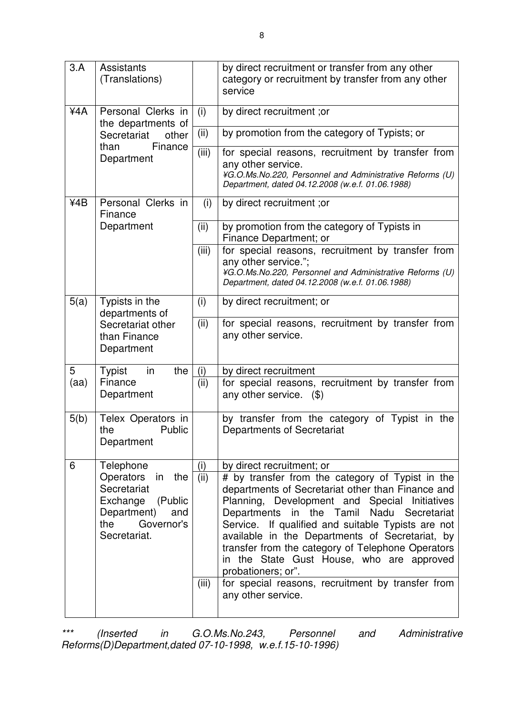| 3.A                                             | <b>Assistants</b><br>(Translations)                                                                                                                     |       | by direct recruitment or transfer from any other<br>category or recruitment by transfer from any other<br>service                                                                                                                                                                                                                                                                                                                                                                                                                               |
|-------------------------------------------------|---------------------------------------------------------------------------------------------------------------------------------------------------------|-------|-------------------------------------------------------------------------------------------------------------------------------------------------------------------------------------------------------------------------------------------------------------------------------------------------------------------------------------------------------------------------------------------------------------------------------------------------------------------------------------------------------------------------------------------------|
| 44A<br>Personal Clerks in<br>the departments of |                                                                                                                                                         | (i)   | by direct recruitment; or                                                                                                                                                                                                                                                                                                                                                                                                                                                                                                                       |
|                                                 | Secretariat<br>other                                                                                                                                    |       | by promotion from the category of Typists; or                                                                                                                                                                                                                                                                                                                                                                                                                                                                                                   |
|                                                 | Finance<br>than<br>Department                                                                                                                           | (iii) | for special reasons, recruitment by transfer from<br>any other service.<br>¥G.O.Ms.No.220, Personnel and Administrative Reforms (U)<br>Department, dated 04.12.2008 (w.e.f. 01.06.1988)                                                                                                                                                                                                                                                                                                                                                         |
| ¥4B                                             | Personal Clerks in<br>Finance                                                                                                                           | (i)   | by direct recruitment; or                                                                                                                                                                                                                                                                                                                                                                                                                                                                                                                       |
|                                                 | Department                                                                                                                                              | (ii)  | by promotion from the category of Typists in<br>Finance Department; or                                                                                                                                                                                                                                                                                                                                                                                                                                                                          |
|                                                 |                                                                                                                                                         | (iii) | for special reasons, recruitment by transfer from<br>any other service.";<br>¥G.O.Ms.No.220, Personnel and Administrative Reforms (U)<br>Department, dated 04.12.2008 (w.e.f. 01.06.1988)                                                                                                                                                                                                                                                                                                                                                       |
| 5(a)                                            | Typists in the<br>departments of                                                                                                                        | (i)   | by direct recruitment; or                                                                                                                                                                                                                                                                                                                                                                                                                                                                                                                       |
| Secretariat other<br>than Finance<br>Department |                                                                                                                                                         | (ii)  | for special reasons, recruitment by transfer from<br>any other service.                                                                                                                                                                                                                                                                                                                                                                                                                                                                         |
| 5                                               | <b>Typist</b><br>in<br>the                                                                                                                              | (i)   | by direct recruitment                                                                                                                                                                                                                                                                                                                                                                                                                                                                                                                           |
| (aa)                                            | Finance<br>Department                                                                                                                                   | (ii)  | for special reasons, recruitment by transfer from<br>any other service. $(\$)$                                                                                                                                                                                                                                                                                                                                                                                                                                                                  |
| 5(b)                                            | Telex Operators in<br>Public<br>the<br>Department                                                                                                       |       | by transfer from the category of Typist in the<br>Departments of Secretariat                                                                                                                                                                                                                                                                                                                                                                                                                                                                    |
| 6                                               | (i)<br>Telephone<br>(iii)<br>Operators<br>in the<br>Secretariat<br>Exchange (Public<br>Department)<br>and<br>Governor's<br>the<br>Secretariat.<br>(iii) |       | by direct recruitment; or<br># by transfer from the category of Typist in the<br>departments of Secretariat other than Finance and<br>Planning, Development and Special Initiatives<br>in the Tamil Nadu Secretariat<br>Departments<br>Service. If qualified and suitable Typists are not<br>available in the Departments of Secretariat, by<br>transfer from the category of Telephone Operators<br>in the State Gust House, who are approved<br>probationers; or".<br>for special reasons, recruitment by transfer from<br>any other service. |

\*\*\* (Inserted in G.O.Ms.No.243, Personnel and Administrative Reforms(D)Department,dated 07-10-1998, w.e.f.15-10-1996)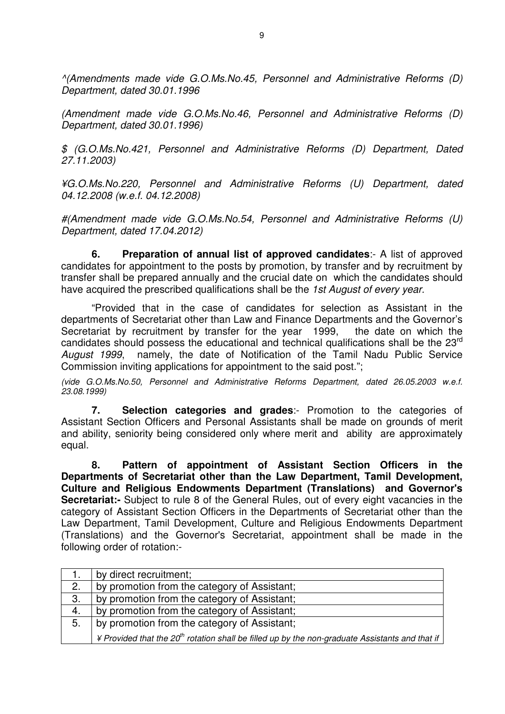^(Amendments made vide G.O.Ms.No.45, Personnel and Administrative Reforms (D) Department, dated 30.01.1996

(Amendment made vide G.O.Ms.No.46, Personnel and Administrative Reforms (D) Department, dated 30.01.1996)

\$ (G.O.Ms.No.421, Personnel and Administrative Reforms (D) Department, Dated 27.11.2003)

¥G.O.Ms.No.220, Personnel and Administrative Reforms (U) Department, dated 04.12.2008 (w.e.f. 04.12.2008)

#(Amendment made vide G.O.Ms.No.54, Personnel and Administrative Reforms (U) Department, dated 17.04.2012)

**6. Preparation of annual list of approved candidates**:- A list of approved candidates for appointment to the posts by promotion, by transfer and by recruitment by transfer shall be prepared annually and the crucial date on which the candidates should have acquired the prescribed qualifications shall be the 1st August of every year.

"Provided that in the case of candidates for selection as Assistant in the departments of Secretariat other than Law and Finance Departments and the Governor's Secretariat by recruitment by transfer for the year 1999, the date on which the candidates should possess the educational and technical qualifications shall be the 23<sup>rd</sup> August 1999, namely, the date of Notification of the Tamil Nadu Public Service Commission inviting applications for appointment to the said post.";

(vide G.O.Ms.No.50, Personnel and Administrative Reforms Department, dated 26.05.2003 w.e.f. 23.08.1999)

 **7. Selection categories and grades**:- Promotion to the categories of Assistant Section Officers and Personal Assistants shall be made on grounds of merit and ability, seniority being considered only where merit and ability are approximately equal.

 **8. Pattern of appointment of Assistant Section Officers in the Departments of Secretariat other than the Law Department, Tamil Development, Culture and Religious Endowments Department (Translations) and Governor's Secretariat:-** Subject to rule 8 of the General Rules, out of every eight vacancies in the category of Assistant Section Officers in the Departments of Secretariat other than the Law Department, Tamil Development, Culture and Religious Endowments Department (Translations) and the Governor's Secretariat, appointment shall be made in the following order of rotation:-

|    | by direct recruitment;                                                                                          |
|----|-----------------------------------------------------------------------------------------------------------------|
| 2. | by promotion from the category of Assistant;                                                                    |
| 3. | by promotion from the category of Assistant;                                                                    |
| 4. | by promotion from the category of Assistant;                                                                    |
| 5. | by promotion from the category of Assistant;                                                                    |
|    | ¥ Provided that the 20 <sup>th</sup> rotation shall be filled up by the non-graduate Assistants and that if $ $ |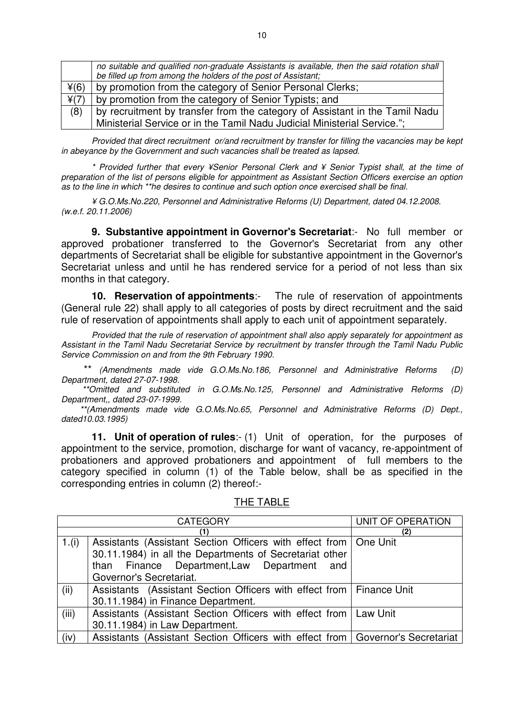|      | no suitable and qualified non-graduate Assistants is available, then the said rotation shall<br>be filled up from among the holders of the post of Assistant; |
|------|---------------------------------------------------------------------------------------------------------------------------------------------------------------|
| ¥(6) | by promotion from the category of Senior Personal Clerks;                                                                                                     |
| ¥(7) | by promotion from the category of Senior Typists; and                                                                                                         |
| (8)  | by recruitment by transfer from the category of Assistant in the Tamil Nadu                                                                                   |
|      | Ministerial Service or in the Tamil Nadu Judicial Ministerial Service.";                                                                                      |

Provided that direct recruitment or/and recruitment by transfer for filling the vacancies may be kept in abeyance by the Government and such vacancies shall be treated as lapsed.

\* Provided further that every ¥Senior Personal Clerk and ¥ Senior Typist shall, at the time of preparation of the list of persons eligible for appointment as Assistant Section Officers exercise an option as to the line in which \*\*he desires to continue and such option once exercised shall be final.

¥ G.O.Ms.No.220, Personnel and Administrative Reforms (U) Department, dated 04.12.2008. (w.e.f. 20.11.2006)

**9. Substantive appointment in Governor's Secretariat**:- No full member or approved probationer transferred to the Governor's Secretariat from any other departments of Secretariat shall be eligible for substantive appointment in the Governor's Secretariat unless and until he has rendered service for a period of not less than six months in that category.

**10. Reservation of appointments**:- The rule of reservation of appointments (General rule 22) shall apply to all categories of posts by direct recruitment and the said rule of reservation of appointments shall apply to each unit of appointment separately.

 Provided that the rule of reservation of appointment shall also apply separately for appointment as Assistant in the Tamil Nadu Secretariat Service by recruitment by transfer through the Tamil Nadu Public Service Commission on and from the 9th February 1990.

 \*\* (Amendments made vide G.O.Ms.No.186, Personnel and Administrative Reforms (D) Department, dated 27-07-1998.

 \*\*Omitted and substituted in G.O.Ms.No.125, Personnel and Administrative Reforms (D) Department,, dated 23-07-1999.

 \*\*(Amendments made vide G.O.Ms.No.65, Personnel and Administrative Reforms (D) Dept., dated10.03.1995)

**11. Unit of operation of rules:-** (1) Unit of operation, for the purposes of appointment to the service, promotion, discharge for want of vacancy, re-appointment of probationers and approved probationers and appointment of full members to the category specified in column (1) of the Table below, shall be as specified in the corresponding entries in column (2) thereof:-

|          | <b>CATEGORY</b>                                                                  | UNIT OF OPERATION |
|----------|----------------------------------------------------------------------------------|-------------------|
|          | (1)                                                                              | (2)               |
| 1. $(i)$ | Assistants (Assistant Section Officers with effect from   One Unit               |                   |
|          | 30.11.1984) in all the Departments of Secretariat other                          |                   |
|          | than Finance Department, Law Department and                                      |                   |
|          | Governor's Secretariat.                                                          |                   |
| (ii)     | Assistants (Assistant Section Officers with effect from   Finance Unit           |                   |
|          | 30.11.1984) in Finance Department.                                               |                   |
| (iii)    | Assistants (Assistant Section Officers with effect from   Law Unit               |                   |
|          | 30.11.1984) in Law Department.                                                   |                   |
| (iv)     | Assistants (Assistant Section Officers with effect from   Governor's Secretariat |                   |

THE TABLE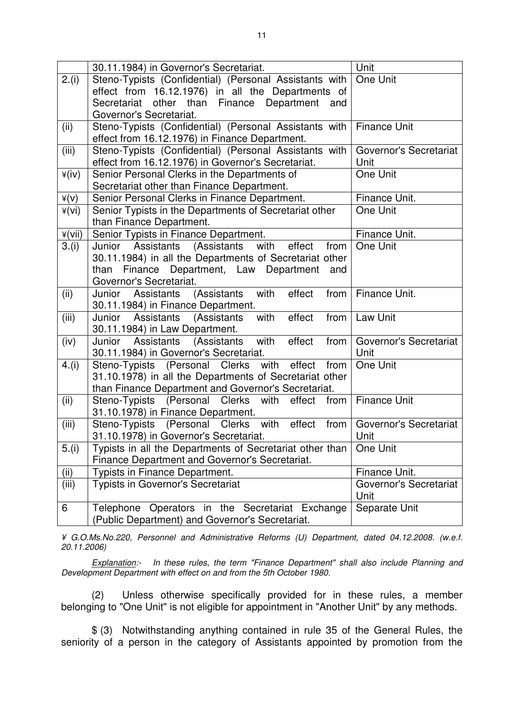|                | 30.11.1984) in Governor's Secretariat.                        | Unit                   |
|----------------|---------------------------------------------------------------|------------------------|
| 2.(i)          | Steno-Typists (Confidential) (Personal Assistants with        | One Unit               |
|                | effect from 16.12.1976) in all the Departments of             |                        |
|                | Secretariat<br>other than<br>Department<br>Finance<br>and     |                        |
|                | Governor's Secretariat.                                       |                        |
| (ii)           | Steno-Typists (Confidential) (Personal Assistants with        | <b>Finance Unit</b>    |
|                | effect from 16.12.1976) in Finance Department.                |                        |
| (iii)          | Steno-Typists (Confidential) (Personal Assistants with        | Governor's Secretariat |
|                | effect from 16.12.1976) in Governor's Secretariat.            | Unit                   |
| $\angle$ (iv)  | Senior Personal Clerks in the Departments of                  | One Unit               |
|                | Secretariat other than Finance Department.                    |                        |
| $\angle$ (v)   | Senior Personal Clerks in Finance Department.                 | Finance Unit.          |
| ¥(vi)          | Senior Typists in the Departments of Secretariat other        | One Unit               |
|                | than Finance Department.                                      |                        |
| $\angle$ (vii) | Senior Typists in Finance Department.                         | Finance Unit.          |
| 3.(i)          | Junior Assistants<br>(Assistants<br>with<br>effect<br>from    | One Unit               |
|                | 30.11.1984) in all the Departments of Secretariat other       |                        |
|                | Finance Department, Law Department<br>than<br>and             |                        |
|                | Governor's Secretariat.                                       |                        |
| (ii)           | (Assistants<br>with<br>effect<br>Junior Assistants<br>from    | Finance Unit.          |
|                | 30.11.1984) in Finance Department.                            |                        |
| (iii)          | with<br>Junior<br>Assistants<br>(Assistants<br>effect<br>from | Law Unit               |
|                | 30.11.1984) in Law Department.                                |                        |
| (iv)           | with<br>effect<br>Junior Assistants<br>(Assistants<br>from    | Governor's Secretariat |
|                | 30.11.1984) in Governor's Secretariat.                        | Unit                   |
| 4.(i)          | Steno-Typists (Personal Clerks with<br>effect<br>from         | One Unit               |
|                | 31.10.1978) in all the Departments of Secretariat other       |                        |
|                | than Finance Department and Governor's Secretariat.           |                        |
| (ii)           | Steno-Typists (Personal Clerks<br>with<br>effect<br>from      | <b>Finance Unit</b>    |
|                | 31.10.1978) in Finance Department.                            |                        |
| (iii)          | Steno-Typists (Personal Clerks with<br>effect<br>from         | Governor's Secretariat |
|                | 31.10.1978) in Governor's Secretariat.                        | Unit                   |
| 5.(i)          | Typists in all the Departments of Secretariat other than      | One Unit               |
|                | Finance Department and Governor's Secretariat.                |                        |
| (ii)           | Typists in Finance Department.                                | Finance Unit.          |
| (iii)          | Typists in Governor's Secretariat                             | Governor's Secretariat |
|                |                                                               | Unit                   |
| 6              | Telephone Operators in the Secretariat Exchange               | Separate Unit          |
|                | (Public Department) and Governor's Secretariat.               |                        |

¥ G.O.Ms.No.220, Personnel and Administrative Reforms (U) Department, dated 04.12.2008. (w.e.f. 20.11.2006)

Explanation:- In these rules, the term "Finance Department" shall also include Planning and Development Department with effect on and from the 5th October 1980.

(2) Unless otherwise specifically provided for in these rules, a member belonging to "One Unit" is not eligible for appointment in "Another Unit" by any methods.

\$ (3) Notwithstanding anything contained in rule 35 of the General Rules, the seniority of a person in the category of Assistants appointed by promotion from the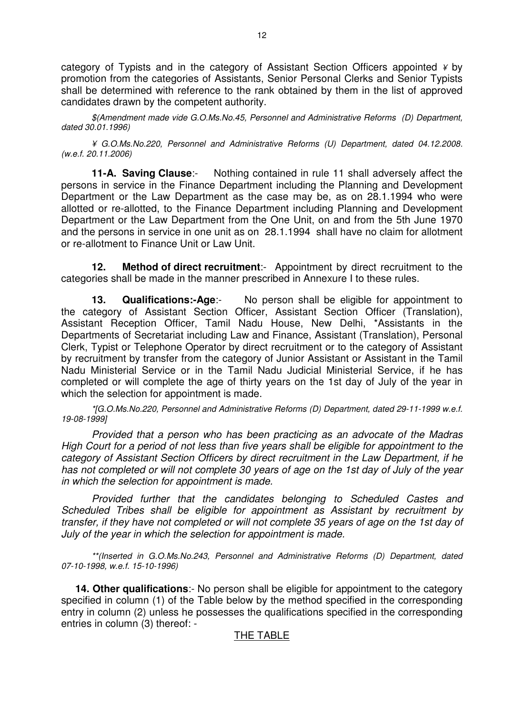category of Typists and in the category of Assistant Section Officers appointed  $\frac{1}{2}$  by promotion from the categories of Assistants, Senior Personal Clerks and Senior Typists shall be determined with reference to the rank obtained by them in the list of approved candidates drawn by the competent authority.

\$(Amendment made vide G.O.Ms.No.45, Personnel and Administrative Reforms (D) Department, dated 30.01.1996)

¥ G.O.Ms.No.220, Personnel and Administrative Reforms (U) Department, dated 04.12.2008. (w.e.f. 20.11.2006)

**11-A. Saving Clause**:- Nothing contained in rule 11 shall adversely affect the persons in service in the Finance Department including the Planning and Development Department or the Law Department as the case may be, as on 28.1.1994 who were allotted or re-allotted, to the Finance Department including Planning and Development Department or the Law Department from the One Unit, on and from the 5th June 1970 and the persons in service in one unit as on 28.1.1994 shall have no claim for allotment or re-allotment to Finance Unit or Law Unit.

**12.** Method of direct recruitment:- Appointment by direct recruitment to the categories shall be made in the manner prescribed in Annexure I to these rules.

**13.** Qualifications:-Age:- No person shall be eligible for appointment to the category of Assistant Section Officer, Assistant Section Officer (Translation), Assistant Reception Officer, Tamil Nadu House, New Delhi, \*Assistants in the Departments of Secretariat including Law and Finance, Assistant (Translation), Personal Clerk, Typist or Telephone Operator by direct recruitment or to the category of Assistant by recruitment by transfer from the category of Junior Assistant or Assistant in the Tamil Nadu Ministerial Service or in the Tamil Nadu Judicial Ministerial Service, if he has completed or will complete the age of thirty years on the 1st day of July of the year in which the selection for appointment is made.

\*[G.O.Ms.No.220, Personnel and Administrative Reforms (D) Department, dated 29-11-1999 w.e.f. 19-08-1999]

Provided that a person who has been practicing as an advocate of the Madras High Court for a period of not less than five years shall be eligible for appointment to the category of Assistant Section Officers by direct recruitment in the Law Department, if he has not completed or will not complete 30 years of age on the 1st day of July of the year in which the selection for appointment is made.

Provided further that the candidates belonging to Scheduled Castes and Scheduled Tribes shall be eligible for appointment as Assistant by recruitment by transfer, if they have not completed or will not complete 35 years of age on the 1st day of July of the year in which the selection for appointment is made.

\*\*(Inserted in G.O.Ms.No.243, Personnel and Administrative Reforms (D) Department, dated 07-10-1998, w.e.f. 15-10-1996)

 **14. Other qualifications**:- No person shall be eligible for appointment to the category specified in column (1) of the Table below by the method specified in the corresponding entry in column (2) unless he possesses the qualifications specified in the corresponding entries in column (3) thereof: -

#### THE TABLE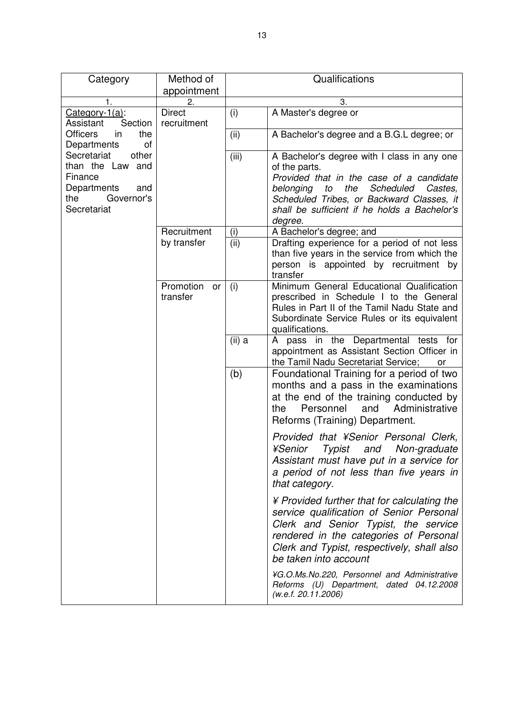| Category                                                                                                      | Method of<br>appointment     | Qualifications |                                                                                                                                                                                                                                                                    |
|---------------------------------------------------------------------------------------------------------------|------------------------------|----------------|--------------------------------------------------------------------------------------------------------------------------------------------------------------------------------------------------------------------------------------------------------------------|
| 1.                                                                                                            | 2.                           | 3.             |                                                                                                                                                                                                                                                                    |
| Category- $1(a)$ :<br>Section<br>Assistant                                                                    | <b>Direct</b><br>recruitment | (i)            | A Master's degree or                                                                                                                                                                                                                                               |
| <b>Officers</b><br>the<br>in<br>Departments<br>οf                                                             |                              | (ii)           | A Bachelor's degree and a B.G.L degree; or                                                                                                                                                                                                                         |
| Secretariat<br>other<br>than the Law and<br>Finance<br>Departments<br>and<br>the<br>Governor's<br>Secretariat |                              | (iii)          | A Bachelor's degree with I class in any one<br>of the parts.<br>Provided that in the case of a candidate<br>the<br>Scheduled<br>Castes,<br>belonging<br>to<br>Scheduled Tribes, or Backward Classes, it<br>shall be sufficient if he holds a Bachelor's<br>degree. |
|                                                                                                               | Recruitment                  | (i)            | A Bachelor's degree; and                                                                                                                                                                                                                                           |
|                                                                                                               | by transfer                  | (ii)           | Drafting experience for a period of not less<br>than five years in the service from which the<br>person is appointed by recruitment by<br>transfer                                                                                                                 |
|                                                                                                               | Promotion<br>or<br>transfer  | (i)            | Minimum General Educational Qualification<br>prescribed in Schedule I to the General<br>Rules in Part II of the Tamil Nadu State and<br>Subordinate Service Rules or its equivalent<br>qualifications.                                                             |
|                                                                                                               |                              | (ii) a         | A pass in the Departmental tests for<br>appointment as Assistant Section Officer in<br>the Tamil Nadu Secretariat Service;<br>or                                                                                                                                   |
|                                                                                                               |                              | (b)            | Foundational Training for a period of two<br>months and a pass in the examinations<br>at the end of the training conducted by<br>Personnel<br>and<br>Administrative<br>the<br>Reforms (Training) Department.                                                       |
|                                                                                                               |                              |                | Provided that ¥Senior Personal Clerk,<br>¥Senior<br>Typist and Non-graduate<br>Assistant must have put in a service for<br>a period of not less than five years in<br>that category.                                                                               |
|                                                                                                               |                              |                | ¥ Provided further that for calculating the<br>service qualification of Senior Personal<br>Clerk and Senior Typist, the service<br>rendered in the categories of Personal<br>Clerk and Typist, respectively, shall also<br>be taken into account                   |
|                                                                                                               |                              |                | ¥G.O.Ms.No.220, Personnel and Administrative<br>Reforms (U) Department, dated 04.12.2008<br>(w.e.f. 20.11.2006)                                                                                                                                                    |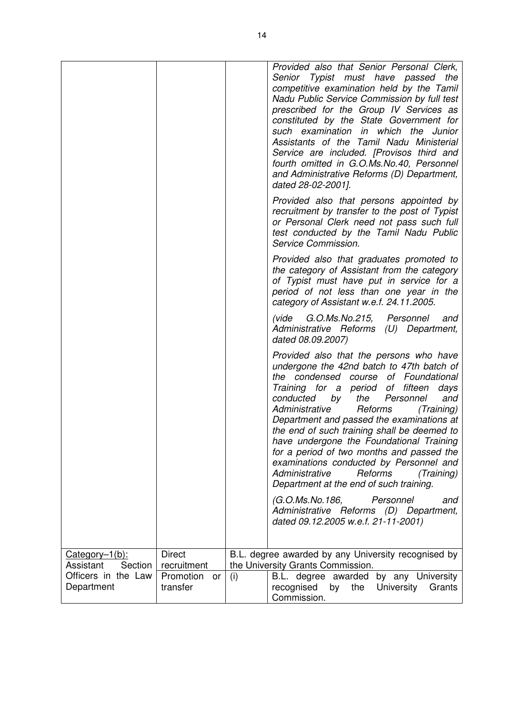|                      |                 |     | Provided also that Senior Personal Clerk,<br>Senior Typist must have passed the<br>competitive examination held by the Tamil<br>Nadu Public Service Commission by full test<br>prescribed for the Group IV Services as<br>constituted by the State Government for<br>such examination in which the Junior<br>Assistants of the Tamil Nadu Ministerial<br>Service are included. [Provisos third and<br>fourth omitted in G.O.Ms.No.40, Personnel<br>and Administrative Reforms (D) Department,<br>dated 28-02-2001].<br>Provided also that persons appointed by<br>recruitment by transfer to the post of Typist<br>or Personal Clerk need not pass such full<br>test conducted by the Tamil Nadu Public<br>Service Commission.<br>Provided also that graduates promoted to<br>the category of Assistant from the category<br>of Typist must have put in service for a<br>period of not less than one year in the<br>category of Assistant w.e.f. 24.11.2005.<br>(vide G.O.Ms.No.215, Personnel<br>and<br>Administrative Reforms (U) Department,<br>dated 08.09.2007)<br>Provided also that the persons who have<br>undergone the 42nd batch to 47th batch of<br>the condensed course of Foundational<br>Training for a period<br>of fifteen<br>days<br>conducted by<br>and<br>the<br>Personnel<br>Administrative<br>Reforms<br>(Training)<br>Department and passed the examinations at<br>the end of such training shall be deemed to<br>have undergone the Foundational Training<br>for a period of two months and passed the |
|----------------------|-----------------|-----|--------------------------------------------------------------------------------------------------------------------------------------------------------------------------------------------------------------------------------------------------------------------------------------------------------------------------------------------------------------------------------------------------------------------------------------------------------------------------------------------------------------------------------------------------------------------------------------------------------------------------------------------------------------------------------------------------------------------------------------------------------------------------------------------------------------------------------------------------------------------------------------------------------------------------------------------------------------------------------------------------------------------------------------------------------------------------------------------------------------------------------------------------------------------------------------------------------------------------------------------------------------------------------------------------------------------------------------------------------------------------------------------------------------------------------------------------------------------------------------------------------------------------------|
|                      |                 |     | examinations conducted by Personnel and<br>Administrative<br>Reforms<br>(Training)<br>Department at the end of such training.                                                                                                                                                                                                                                                                                                                                                                                                                                                                                                                                                                                                                                                                                                                                                                                                                                                                                                                                                                                                                                                                                                                                                                                                                                                                                                                                                                                                  |
|                      |                 |     | (G.O.Ms.No.186,<br>Personnel<br>and<br>Administrative Reforms (D) Department,<br>dated 09.12.2005 w.e.f. 21-11-2001)                                                                                                                                                                                                                                                                                                                                                                                                                                                                                                                                                                                                                                                                                                                                                                                                                                                                                                                                                                                                                                                                                                                                                                                                                                                                                                                                                                                                           |
| Category-1(b):       | <b>Direct</b>   |     | B.L. degree awarded by any University recognised by                                                                                                                                                                                                                                                                                                                                                                                                                                                                                                                                                                                                                                                                                                                                                                                                                                                                                                                                                                                                                                                                                                                                                                                                                                                                                                                                                                                                                                                                            |
| Assistant<br>Section | recruitment     |     | the University Grants Commission.                                                                                                                                                                                                                                                                                                                                                                                                                                                                                                                                                                                                                                                                                                                                                                                                                                                                                                                                                                                                                                                                                                                                                                                                                                                                                                                                                                                                                                                                                              |
| Officers in the Law  | Promotion<br>or | (i) | by any University<br>B.L. degree awarded                                                                                                                                                                                                                                                                                                                                                                                                                                                                                                                                                                                                                                                                                                                                                                                                                                                                                                                                                                                                                                                                                                                                                                                                                                                                                                                                                                                                                                                                                       |
| Department           | transfer        |     | recognised<br>University<br>by<br>the<br>Grants<br>Commission.                                                                                                                                                                                                                                                                                                                                                                                                                                                                                                                                                                                                                                                                                                                                                                                                                                                                                                                                                                                                                                                                                                                                                                                                                                                                                                                                                                                                                                                                 |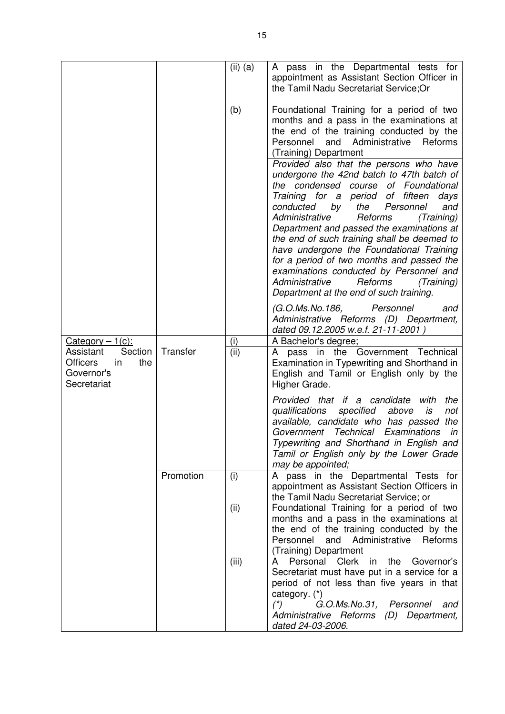|                                                                                                         |           | $(ii)$ (a)  | A pass in the Departmental tests for<br>appointment as Assistant Section Officer in<br>the Tamil Nadu Secretariat Service; Or                                                                                                                                                                                        |
|---------------------------------------------------------------------------------------------------------|-----------|-------------|----------------------------------------------------------------------------------------------------------------------------------------------------------------------------------------------------------------------------------------------------------------------------------------------------------------------|
|                                                                                                         |           | (b)         | Foundational Training for a period of two<br>months and a pass in the examinations at<br>the end of the training conducted by the<br>Personnel<br>and Administrative<br>Reforms<br>(Training) Department                                                                                                             |
|                                                                                                         |           |             | Provided also that the persons who have<br>undergone the 42nd batch to 47th batch of<br>the condensed course<br>of Foundational<br>Training for a period<br>of fifteen<br>days<br>conducted<br>and<br>Personnel<br>by<br>the<br>(Training)<br>Administrative<br>Reforms<br>Department and passed the examinations at |
|                                                                                                         |           |             | the end of such training shall be deemed to<br>have undergone the Foundational Training<br>for a period of two months and passed the<br>examinations conducted by Personnel and<br>Administrative<br>Reforms<br>(Training)<br>Department at the end of such training.                                                |
|                                                                                                         |           |             | (G.O.Ms.No.186,<br>Personnel<br>and<br>Administrative Reforms (D) Department,<br>dated 09.12.2005 w.e.f. 21-11-2001)                                                                                                                                                                                                 |
| $Category - 1(c):$<br>Section<br>Assistant<br><b>Officers</b><br>the<br>in<br>Governor's<br>Secretariat | Transfer  | (i)<br>(ii) | A Bachelor's degree;<br>the Government Technical<br>pass in<br>A<br>Examination in Typewriting and Shorthand in<br>English and Tamil or English only by the<br>Higher Grade.                                                                                                                                         |
|                                                                                                         |           |             | Provided that if a candidate<br>with<br>the<br>qualifications<br>specified<br>above<br>is<br>not<br>available, candidate who has passed<br>the<br>Government Technical Examinations<br>in<br>Typewriting and Shorthand in English and<br>Tamil or English only by the Lower Grade<br>may be appointed;               |
|                                                                                                         | Promotion | (i)         | A pass in the Departmental Tests for<br>appointment as Assistant Section Officers in<br>the Tamil Nadu Secretariat Service; or                                                                                                                                                                                       |
|                                                                                                         |           | (ii)        | Foundational Training for a period of two<br>months and a pass in the examinations at<br>the end of the training conducted by the<br>and Administrative Reforms<br>Personnel<br>(Training) Department                                                                                                                |
|                                                                                                         |           | (iii)       | in the<br>Personal Clerk<br>Governor's<br>A<br>Secretariat must have put in a service for a<br>period of not less than five years in that<br>category. (*)                                                                                                                                                           |
|                                                                                                         |           |             | G.O.Ms.No.31, Personnel<br>$(*)$<br>and<br>Administrative Reforms (D) Department,<br>dated 24-03-2006.                                                                                                                                                                                                               |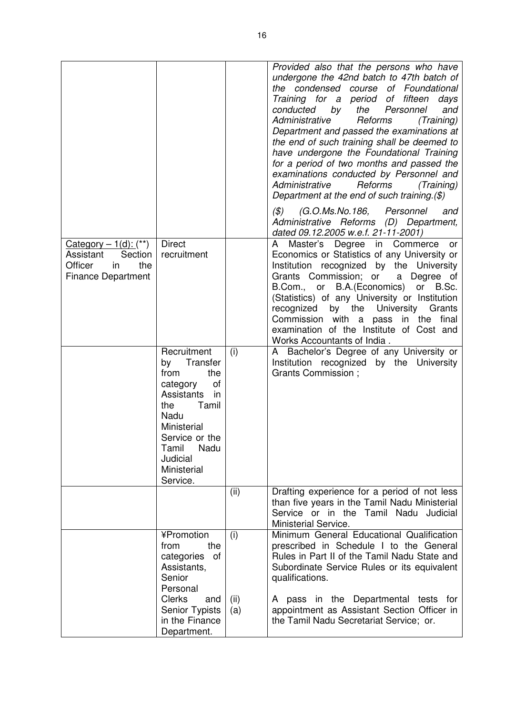|                                                                                                        |                                                                                                                                                                                                     |             | Provided also that the persons who have<br>undergone the 42nd batch to 47th batch of<br>the condensed course of Foundational<br>Training for a period of fifteen<br>days<br>conducted<br>by<br>the Personnel<br>and<br>Administrative<br>Reforms<br>(Training)<br>Department and passed the examinations at<br>the end of such training shall be deemed to<br>have undergone the Foundational Training<br>for a period of two months and passed the<br>examinations conducted by Personnel and<br>Administrative<br>Reforms<br>(Training)<br>Department at the end of such training.(\$)<br>(G.O.Ms.No.186, Personnel<br>$(\mathcal{S})$<br>and<br>Administrative Reforms (D) Department, |
|--------------------------------------------------------------------------------------------------------|-----------------------------------------------------------------------------------------------------------------------------------------------------------------------------------------------------|-------------|-------------------------------------------------------------------------------------------------------------------------------------------------------------------------------------------------------------------------------------------------------------------------------------------------------------------------------------------------------------------------------------------------------------------------------------------------------------------------------------------------------------------------------------------------------------------------------------------------------------------------------------------------------------------------------------------|
| Category $-1$ (d): $(**)$<br>Section<br>Assistant<br>Officer<br>in<br>the<br><b>Finance Department</b> | <b>Direct</b><br>recruitment                                                                                                                                                                        |             | dated 09.12.2005 w.e.f. 21-11-2001)<br>Degree in Commerce<br>Master's<br>A<br>or<br>Economics or Statistics of any University or<br>Institution recognized by the University<br>Grants Commission; or<br>a Degree of<br>B.Com., or B.A. (Economics) or B.Sc.<br>(Statistics) of any University or Institution<br>by the University Grants<br>recognized<br>Commission with a pass in the final<br>examination of the Institute of Cost and<br>Works Accountants of India.                                                                                                                                                                                                                 |
|                                                                                                        | Recruitment<br>Transfer<br>by<br>from<br>the<br>of<br>category<br>Assistants<br>in<br>Tamil<br>the<br>Nadu<br>Ministerial<br>Service or the<br>Nadu<br>Tamil<br>Judicial<br>Ministerial<br>Service. | (i)         | A Bachelor's Degree of any University or<br>Institution recognized by the University<br>Grants Commission ;                                                                                                                                                                                                                                                                                                                                                                                                                                                                                                                                                                               |
|                                                                                                        |                                                                                                                                                                                                     | (ii)        | Drafting experience for a period of not less<br>than five years in the Tamil Nadu Ministerial<br>Service or in the Tamil Nadu Judicial<br>Ministerial Service.                                                                                                                                                                                                                                                                                                                                                                                                                                                                                                                            |
|                                                                                                        | ¥Promotion<br>from<br>the<br>categories<br>of<br>Assistants,<br>Senior<br>Personal                                                                                                                  | (i)         | Minimum General Educational Qualification<br>prescribed in Schedule I to the General<br>Rules in Part II of the Tamil Nadu State and<br>Subordinate Service Rules or its equivalent<br>qualifications.                                                                                                                                                                                                                                                                                                                                                                                                                                                                                    |
|                                                                                                        | <b>Clerks</b><br>and<br>Senior Typists<br>in the Finance<br>Department.                                                                                                                             | (ii)<br>(a) | A pass in the Departmental tests for<br>appointment as Assistant Section Officer in<br>the Tamil Nadu Secretariat Service; or.                                                                                                                                                                                                                                                                                                                                                                                                                                                                                                                                                            |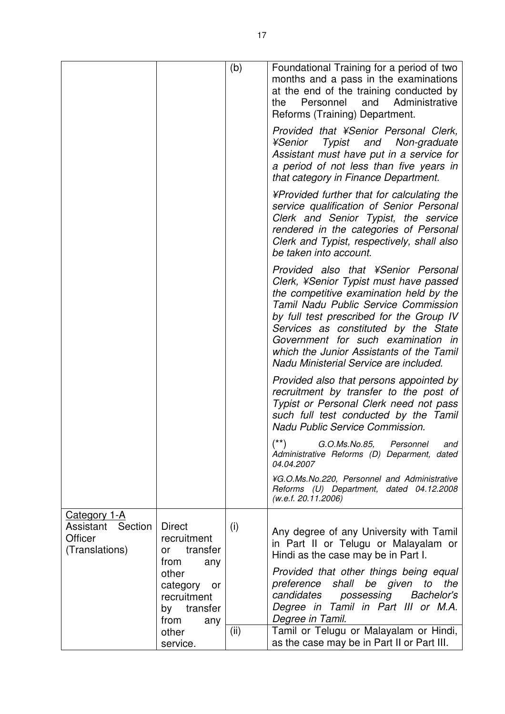|                                                                       |                                                                                                                           | (b)  | Foundational Training for a period of two<br>months and a pass in the examinations<br>at the end of the training conducted by<br>Personnel and Administrative<br>the<br>Reforms (Training) Department.                                                                                                                                                                           |
|-----------------------------------------------------------------------|---------------------------------------------------------------------------------------------------------------------------|------|----------------------------------------------------------------------------------------------------------------------------------------------------------------------------------------------------------------------------------------------------------------------------------------------------------------------------------------------------------------------------------|
|                                                                       |                                                                                                                           |      | Provided that ¥Senior Personal Clerk,<br>¥Senior<br>Typist and Non-graduate<br>Assistant must have put in a service for<br>a period of not less than five years in<br>that category in Finance Department.                                                                                                                                                                       |
|                                                                       |                                                                                                                           |      | ¥Provided further that for calculating the<br>service qualification of Senior Personal<br>Clerk and Senior Typist, the service<br>rendered in the categories of Personal<br>Clerk and Typist, respectively, shall also<br>be taken into account.                                                                                                                                 |
|                                                                       |                                                                                                                           |      | Provided also that ¥Senior Personal<br>Clerk, ¥Senior Typist must have passed<br>the competitive examination held by the<br>Tamil Nadu Public Service Commission<br>by full test prescribed for the Group IV<br>Services as constituted by the State<br>Government for such examination in<br>which the Junior Assistants of the Tamil<br>Nadu Ministerial Service are included. |
|                                                                       |                                                                                                                           |      | Provided also that persons appointed by<br>recruitment by transfer to the post of<br>Typist or Personal Clerk need not pass<br>such full test conducted by the Tamil<br>Nadu Public Service Commission.                                                                                                                                                                          |
|                                                                       |                                                                                                                           |      | $(\texttt{**})$<br>G.O.Ms.No.85,<br>Personnel<br>and<br>Administrative Reforms (D) Deparment, dated<br>04.04.2007                                                                                                                                                                                                                                                                |
|                                                                       |                                                                                                                           |      | ¥G.O.Ms.No.220, Personnel and Administrative<br>Reforms (U) Department, dated 04.12.2008<br>(w.e.f. 20.11.2006)                                                                                                                                                                                                                                                                  |
| <b>Category 1-A</b><br>Assistant Section<br>Officer<br>(Translations) | <b>Direct</b><br>recruitment<br>transfer<br>or<br>from<br>any<br>other<br>category<br>or<br>recruitment<br>transfer<br>by | (i)  | Any degree of any University with Tamil<br>in Part II or Telugu or Malayalam or<br>Hindi as the case may be in Part I.<br>Provided that other things being equal<br>preference<br>shall be given<br>the<br>to<br>candidates<br>possessing Bachelor's<br>Degree in Tamil in Part III or M.A.                                                                                      |
|                                                                       | from<br>any<br>other<br>service.                                                                                          | (ii) | Degree in Tamil.<br>Tamil or Telugu or Malayalam or Hindi,<br>as the case may be in Part II or Part III.                                                                                                                                                                                                                                                                         |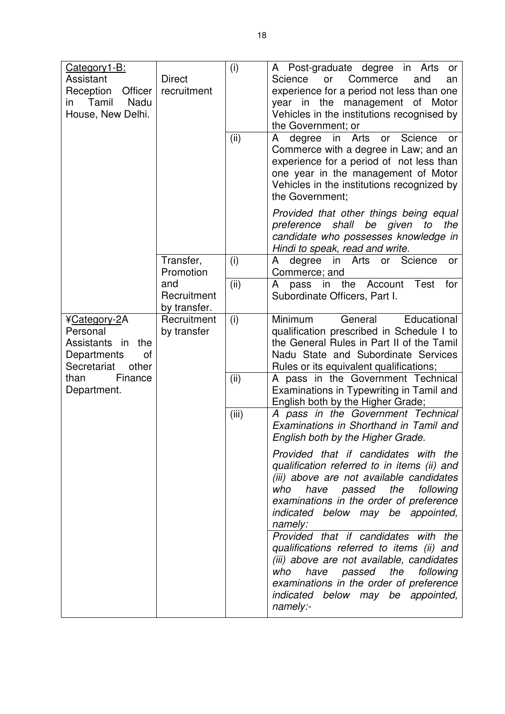| Category1-B:<br>Assistant<br>Reception<br>Officer<br>Nadu<br>Tamil<br>in<br>House, New Delhi.                                   | <b>Direct</b><br>recruitment       | (i)<br>(ii) | A Post-graduate degree in Arts<br>or<br>Commerce<br><b>Science</b><br><b>or</b><br>and<br>an<br>experience for a period not less than one<br>in i<br>the<br>management of Motor<br>year<br>Vehicles in the institutions recognised by<br>the Government; or<br>degree<br>in<br>Arts<br>Science<br>A<br>or<br>or<br>Commerce with a degree in Law; and an<br>experience for a period of not less than<br>one year in the management of Motor<br>Vehicles in the institutions recognized by<br>the Government;<br>Provided that other things being equal<br>shall<br>be given<br>preference<br>the<br>to |
|---------------------------------------------------------------------------------------------------------------------------------|------------------------------------|-------------|--------------------------------------------------------------------------------------------------------------------------------------------------------------------------------------------------------------------------------------------------------------------------------------------------------------------------------------------------------------------------------------------------------------------------------------------------------------------------------------------------------------------------------------------------------------------------------------------------------|
|                                                                                                                                 |                                    |             | candidate who possesses knowledge in<br>Hindi to speak, read and write.                                                                                                                                                                                                                                                                                                                                                                                                                                                                                                                                |
|                                                                                                                                 | Transfer,<br>Promotion             | (i)         | degree in Arts or Science<br>A<br>or<br>Commerce; and                                                                                                                                                                                                                                                                                                                                                                                                                                                                                                                                                  |
|                                                                                                                                 | and<br>Recruitment<br>by transfer. | (ii)        | <b>Test</b><br>in<br>the<br>Account<br>for<br>A<br>pass<br>Subordinate Officers, Part I.                                                                                                                                                                                                                                                                                                                                                                                                                                                                                                               |
| ¥Category-2A<br>Personal<br>Assistants in<br>the<br>Departments<br>of<br>Secretariat<br>other<br>Finance<br>than<br>Department. | Recruitment<br>by transfer         | (i)         | <b>Minimum</b><br>General<br>Educational<br>qualification prescribed in Schedule I to<br>the General Rules in Part II of the Tamil<br>Nadu State and Subordinate Services<br>Rules or its equivalent qualifications;                                                                                                                                                                                                                                                                                                                                                                                   |
|                                                                                                                                 |                                    | (ii)        | A pass in the Government Technical<br>Examinations in Typewriting in Tamil and<br>English both by the Higher Grade;                                                                                                                                                                                                                                                                                                                                                                                                                                                                                    |
|                                                                                                                                 |                                    | (iii)       | A pass in the Government Technical<br>Examinations in Shorthand in Tamil and<br>English both by the Higher Grade.                                                                                                                                                                                                                                                                                                                                                                                                                                                                                      |
|                                                                                                                                 |                                    |             | Provided that if candidates with the<br>qualification referred to in items (ii) and<br>(iii) above are not available candidates<br>who have passed the following<br>examinations in the order of preference<br>indicated below may be appointed,<br>namely:                                                                                                                                                                                                                                                                                                                                            |
|                                                                                                                                 |                                    |             | Provided that if candidates with the<br>qualifications referred to items (ii) and<br>(iii) above are not available, candidates<br>who have passed the following<br>examinations in the order of preference<br>indicated below may be appointed,<br>namely:-                                                                                                                                                                                                                                                                                                                                            |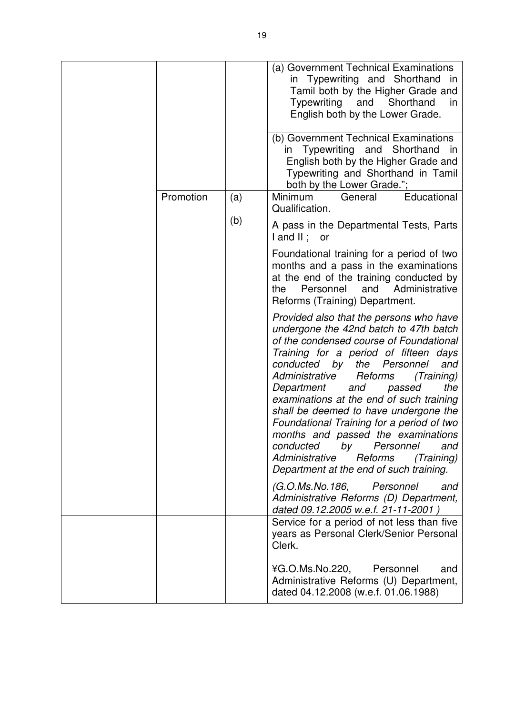|           |     | (a) Government Technical Examinations<br>in Typewriting and Shorthand in<br>Tamil both by the Higher Grade and<br>Typewriting<br>and<br>Shorthand<br>in<br>English both by the Lower Grade.                                                                                                                                                                                                                                                                                                                                                                                                         |
|-----------|-----|-----------------------------------------------------------------------------------------------------------------------------------------------------------------------------------------------------------------------------------------------------------------------------------------------------------------------------------------------------------------------------------------------------------------------------------------------------------------------------------------------------------------------------------------------------------------------------------------------------|
|           |     | (b) Government Technical Examinations<br>Typewriting and Shorthand<br>in<br>in<br>English both by the Higher Grade and<br>Typewriting and Shorthand in Tamil<br>both by the Lower Grade.";                                                                                                                                                                                                                                                                                                                                                                                                          |
| Promotion | (a) | Educational<br>Minimum<br>General<br>Qualification.                                                                                                                                                                                                                                                                                                                                                                                                                                                                                                                                                 |
|           | (b) | A pass in the Departmental Tests, Parts<br>$land II$ ; or                                                                                                                                                                                                                                                                                                                                                                                                                                                                                                                                           |
|           |     | Foundational training for a period of two<br>months and a pass in the examinations<br>at the end of the training conducted by<br>Personnel and<br>Administrative<br>the<br>Reforms (Training) Department.                                                                                                                                                                                                                                                                                                                                                                                           |
|           |     | Provided also that the persons who have<br>undergone the 42nd batch to 47th batch<br>of the condensed course of Foundational<br>Training for a period of fifteen days<br>conducted by<br>the Personnel<br>and<br>Administrative<br>Reforms<br>(Training)<br>Department<br>passed<br>the<br>and<br>examinations at the end of such training<br>shall be deemed to have undergone the<br>Foundational Training for a period of two<br>months and passed the examinations<br>conducted<br>by<br>Personnel<br>and<br>Administrative<br>Reforms<br>(Training)<br>Department at the end of such training. |
|           |     | (G.O.Ms.No.186,<br>Personnel<br>and<br>Administrative Reforms (D) Department,<br>dated 09.12.2005 w.e.f. 21-11-2001)                                                                                                                                                                                                                                                                                                                                                                                                                                                                                |
|           |     | Service for a period of not less than five<br>years as Personal Clerk/Senior Personal<br>Clerk.                                                                                                                                                                                                                                                                                                                                                                                                                                                                                                     |
|           |     | ¥G.O.Ms.No.220,<br>Personnel<br>and<br>Administrative Reforms (U) Department,<br>dated 04.12.2008 (w.e.f. 01.06.1988)                                                                                                                                                                                                                                                                                                                                                                                                                                                                               |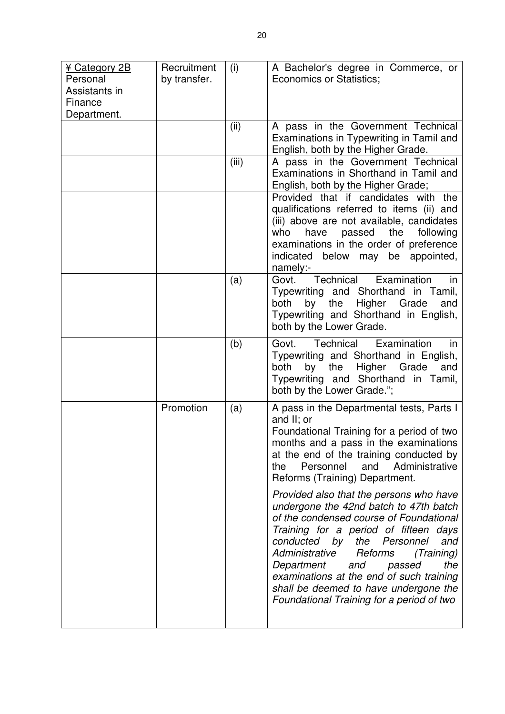| ¥ Category 2B<br>Personal<br>Assistants in<br>Finance<br>Department. | Recruitment<br>by transfer. | (i)   | A Bachelor's degree in Commerce, or<br><b>Economics or Statistics;</b>                                                                                                                                                                                                                                                                                                                                                        |
|----------------------------------------------------------------------|-----------------------------|-------|-------------------------------------------------------------------------------------------------------------------------------------------------------------------------------------------------------------------------------------------------------------------------------------------------------------------------------------------------------------------------------------------------------------------------------|
|                                                                      |                             | (ii)  | A pass in the Government Technical<br>Examinations in Typewriting in Tamil and<br>English, both by the Higher Grade.                                                                                                                                                                                                                                                                                                          |
|                                                                      |                             | (iii) | A pass in the Government Technical<br>Examinations in Shorthand in Tamil and<br>English, both by the Higher Grade;                                                                                                                                                                                                                                                                                                            |
|                                                                      |                             |       | Provided that if candidates with the<br>qualifications referred to items (ii) and<br>(iii) above are not available, candidates<br>have passed the<br>following<br>who<br>examinations in the order of preference<br>indicated<br>below may be appointed,<br>namely:-                                                                                                                                                          |
|                                                                      |                             | (a)   | Technical<br>Examination<br>Govt.<br>in<br>Typewriting and Shorthand in Tamil,<br>by the<br>Higher Grade<br>both<br>and<br>Typewriting and Shorthand in English,<br>both by the Lower Grade.                                                                                                                                                                                                                                  |
|                                                                      |                             | (b)   | Govt. Technical<br>Examination<br>in in<br>Typewriting and Shorthand in English,<br>both<br>by<br>Higher<br>the<br>Grade<br>and<br>Typewriting and Shorthand in Tamil,<br>both by the Lower Grade.";                                                                                                                                                                                                                          |
|                                                                      | Promotion                   | (a)   | A pass in the Departmental tests, Parts I<br>and II; or<br>Foundational Training for a period of two<br>months and a pass in the examinations<br>at the end of the training conducted by<br>Personnel<br>and<br>Administrative<br>the<br>Reforms (Training) Department.                                                                                                                                                       |
|                                                                      |                             |       | Provided also that the persons who have<br>undergone the 42nd batch to 47th batch<br>of the condensed course of Foundational<br>Training for a period of fifteen days<br>conducted by the Personnel<br>and<br>Administrative<br>Reforms<br>(Training)<br>Department<br>the<br>and<br>passed<br>examinations at the end of such training<br>shall be deemed to have undergone the<br>Foundational Training for a period of two |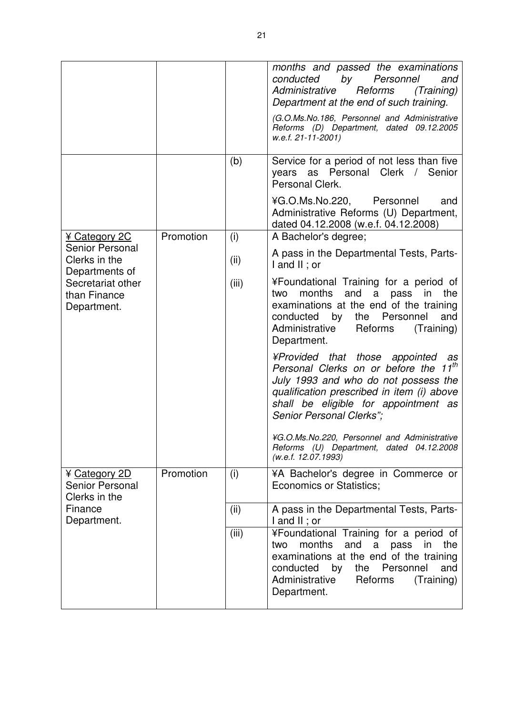|                                                                    |           |       | months and passed the examinations<br>by<br>conducted<br>Personnel<br>and<br>Administrative<br>Reforms<br>(Training)<br>Department at the end of such training.                                                                                  |
|--------------------------------------------------------------------|-----------|-------|--------------------------------------------------------------------------------------------------------------------------------------------------------------------------------------------------------------------------------------------------|
|                                                                    |           |       | (G.O.Ms.No.186, Personnel and Administrative<br>Reforms (D) Department, dated 09.12.2005<br>w.e.f. 21-11-2001)                                                                                                                                   |
|                                                                    |           | (b)   | Service for a period of not less than five<br>as Personal Clerk / Senior<br>years<br>Personal Clerk.                                                                                                                                             |
|                                                                    |           |       | ¥G.O.Ms.No.220, Personnel<br>and<br>Administrative Reforms (U) Department,<br>dated 04.12.2008 (w.e.f. 04.12.2008)                                                                                                                               |
| ¥ Category 2C                                                      | Promotion | (i)   | A Bachelor's degree;                                                                                                                                                                                                                             |
| <b>Senior Personal</b><br>Clerks in the                            |           | (ii)  | A pass in the Departmental Tests, Parts-<br>I and II ; or                                                                                                                                                                                        |
| Departments of<br>Secretariat other<br>than Finance<br>Department. |           | (iii) | ¥Foundational Training for a period of<br>months<br>and<br>a<br>in<br>the<br>two<br>pass<br>examinations at the end of the training<br>conducted by the Personnel<br>and<br>Administrative<br>Reforms<br>(Training)<br>Department.               |
|                                                                    |           |       | ¥Provided that those appointed as<br>Personal Clerks on or before the 11 <sup>th</sup><br>July 1993 and who do not possess the<br>qualification prescribed in item (i) above<br>shall be eligible for appointment as<br>Senior Personal Clerks"; |
|                                                                    |           |       | ¥G.O.Ms.No.220, Personnel and Administrative<br>Reforms (U) Department, dated 04.12.2008<br>(w.e.f. 12.07.1993)                                                                                                                                  |
| ¥ Category 2D<br><b>Senior Personal</b><br>Clerks in the           | Promotion | (i)   | ¥A Bachelor's degree in Commerce or<br><b>Economics or Statistics;</b>                                                                                                                                                                           |
| Finance<br>Department.                                             |           | (ii)  | A pass in the Departmental Tests, Parts-<br>$I$ and $II$ ; or                                                                                                                                                                                    |
|                                                                    |           | (iii) | ¥Foundational Training for a period of<br>months<br>and<br>a pass<br>in<br>two<br>the<br>examinations at the end of the training<br>conducted by<br>the Personnel<br>and<br>Administrative<br>Reforms<br>(Training)<br>Department.               |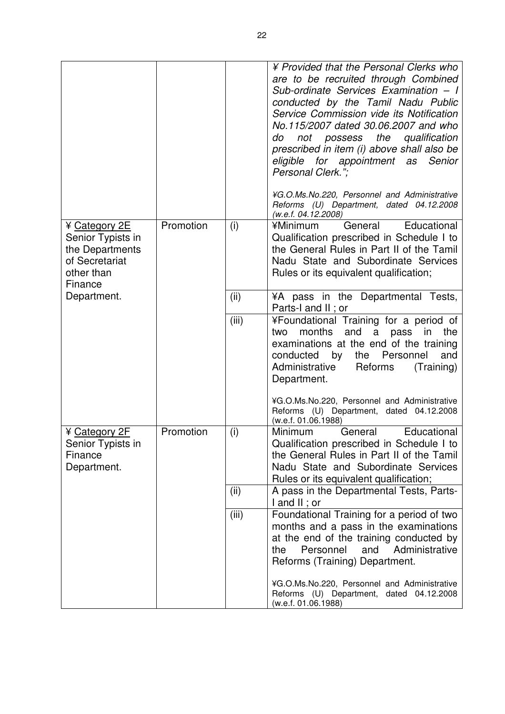|                                                                                                  |           |       | ¥ Provided that the Personal Clerks who<br>are to be recruited through Combined<br>Sub-ordinate Services Examination - I<br>conducted by the Tamil Nadu Public<br>Service Commission vide its Notification<br>No.115/2007 dated 30.06.2007 and who<br>not possess the<br>qualification<br>do<br>prescribed in item (i) above shall also be<br>eligible for appointment as Senior<br>Personal Clerk."; |
|--------------------------------------------------------------------------------------------------|-----------|-------|-------------------------------------------------------------------------------------------------------------------------------------------------------------------------------------------------------------------------------------------------------------------------------------------------------------------------------------------------------------------------------------------------------|
|                                                                                                  |           |       | ¥G.O.Ms.No.220, Personnel and Administrative<br>Reforms (U) Department, dated 04.12.2008<br>(w.e.f. 04.12.2008)                                                                                                                                                                                                                                                                                       |
| ¥ Category 2E<br>Senior Typists in<br>the Departments<br>of Secretariat<br>other than<br>Finance | Promotion | (i)   | General<br>Educational<br>¥Minimum<br>Qualification prescribed in Schedule I to<br>the General Rules in Part II of the Tamil<br>Nadu State and Subordinate Services<br>Rules or its equivalent qualification;                                                                                                                                                                                         |
| Department.                                                                                      |           | (ii)  | ¥A pass in the Departmental Tests,<br>Parts-I and II; or                                                                                                                                                                                                                                                                                                                                              |
|                                                                                                  |           | (iii) | ¥Foundational Training for a period of<br>and<br>months<br>a<br>pass<br>in<br>the<br>two<br>examinations at the end of the training<br>by<br>the<br>Personnel<br>and<br>conducted<br>Administrative<br>Reforms<br>(Training)<br>Department.                                                                                                                                                           |
|                                                                                                  |           |       | ¥G.O.Ms.No.220, Personnel and Administrative<br>Reforms (U) Department, dated 04.12.2008<br>(w.e.f. 01.06.1988)                                                                                                                                                                                                                                                                                       |
| ¥ Category 2F<br>Senior Typists in<br>Finance<br>Department.                                     | Promotion | (i)   | Minimum<br>Educational<br>General<br>Qualification prescribed in Schedule I to<br>the General Rules in Part II of the Tamil<br>Nadu State and Subordinate Services<br>Rules or its equivalent qualification;                                                                                                                                                                                          |
|                                                                                                  |           | (ii)  | A pass in the Departmental Tests, Parts-<br>$I$ and $II$ ; or                                                                                                                                                                                                                                                                                                                                         |
|                                                                                                  |           | (iii) | Foundational Training for a period of two<br>months and a pass in the examinations<br>at the end of the training conducted by<br>and<br>Administrative<br>Personnel<br>the<br>Reforms (Training) Department.                                                                                                                                                                                          |
|                                                                                                  |           |       | ¥G.O.Ms.No.220, Personnel and Administrative<br>Reforms (U) Department, dated 04.12.2008<br>(w.e.f. 01.06.1988)                                                                                                                                                                                                                                                                                       |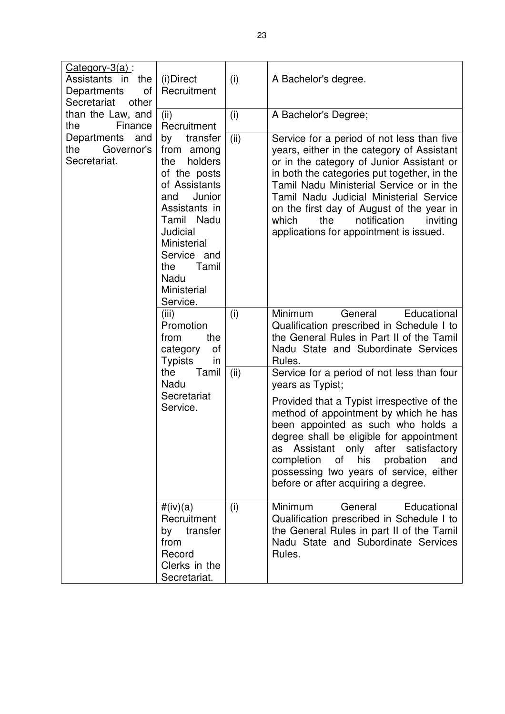| $Categorical$ $3(a)$ :<br>Assistants in the<br>Departments<br>of<br>Secretariat<br>other | (i)Direct<br>Recruitment                                                                                                                                                                                                     | (i)  | A Bachelor's degree.                                                                                                                                                                                                                                                                                                                                                                                            |
|------------------------------------------------------------------------------------------|------------------------------------------------------------------------------------------------------------------------------------------------------------------------------------------------------------------------------|------|-----------------------------------------------------------------------------------------------------------------------------------------------------------------------------------------------------------------------------------------------------------------------------------------------------------------------------------------------------------------------------------------------------------------|
| than the Law, and                                                                        | (ii)<br>Recruitment                                                                                                                                                                                                          | (i)  | A Bachelor's Degree;                                                                                                                                                                                                                                                                                                                                                                                            |
| Finance<br>the<br>Departments<br>and<br>the<br>Governor's<br>Secretariat.                | transfer<br>by<br>from among<br>holders<br>the<br>of the posts<br>of Assistants<br>Junior<br>and<br>Assistants in<br>Tamil Nadu<br>Judicial<br>Ministerial<br>Service and<br>Tamil<br>the<br>Nadu<br>Ministerial<br>Service. | (ii) | Service for a period of not less than five<br>years, either in the category of Assistant<br>or in the category of Junior Assistant or<br>in both the categories put together, in the<br>Tamil Nadu Ministerial Service or in the<br>Tamil Nadu Judicial Ministerial Service<br>on the first day of August of the year in<br>which<br>notification<br>the<br>inviting<br>applications for appointment is issued. |
|                                                                                          | (iii)<br>Promotion<br>from<br>the<br>category<br>οf<br><b>Typists</b><br>in<br>the<br>Tamil<br>Nadu<br>Secretariat<br>Service.                                                                                               | (i)  | Minimum<br>General<br>Educational<br>Qualification prescribed in Schedule I to<br>the General Rules in Part II of the Tamil<br>Nadu State and Subordinate Services<br>Rules.                                                                                                                                                                                                                                    |
|                                                                                          |                                                                                                                                                                                                                              | (ii) | Service for a period of not less than four<br>years as Typist;                                                                                                                                                                                                                                                                                                                                                  |
|                                                                                          |                                                                                                                                                                                                                              |      | Provided that a Typist irrespective of the<br>method of appointment by which he has<br>been appointed as such who holds a<br>degree shall be eligible for appointment<br>Assistant only after satisfactory<br>as<br>completion<br>of his probation<br>and<br>possessing two years of service, either<br>before or after acquiring a degree.                                                                     |
|                                                                                          | #(iv)(a)<br>Recruitment<br>by transfer<br>from<br>Record<br>Clerks in the<br>Secretariat.                                                                                                                                    | (i)  | Minimum<br>Educational<br>General<br>Qualification prescribed in Schedule I to<br>the General Rules in part II of the Tamil<br>Nadu State and Subordinate Services<br>Rules.                                                                                                                                                                                                                                    |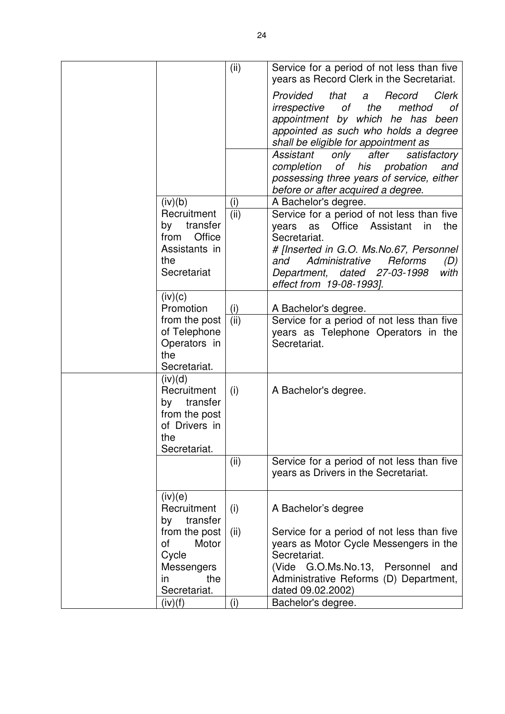|                                                                                                   | (ii)        | Service for a period of not less than five<br>years as Record Clerk in the Secretariat.                                                                                                                                                                                    |
|---------------------------------------------------------------------------------------------------|-------------|----------------------------------------------------------------------------------------------------------------------------------------------------------------------------------------------------------------------------------------------------------------------------|
|                                                                                                   |             | Provided<br>that<br>Clerk<br>Record<br>a<br>the<br>method<br>οf<br>irrespective<br>оf<br>appointment by which he has been<br>appointed as such who holds a degree<br>shall be eligible for appointment as                                                                  |
|                                                                                                   |             | Assistant<br>after<br>only<br>satisfactory<br>оf<br>completion<br>his<br>probation<br>and<br>possessing three years of service, either<br>before or after acquired a degree.                                                                                               |
| (iv)(b)                                                                                           | (i)         | A Bachelor's degree.                                                                                                                                                                                                                                                       |
| Recruitment<br>transfer<br>by<br>Office<br>from<br>Assistants in<br>the<br>Secretariat            | (ii)        | Service for a period of not less than five<br>Office<br>Assistant<br>the<br>as<br>in<br>years<br>Secretariat.<br># [Inserted in G.O. Ms.No.67, Personnel<br>Administrative<br>Reforms<br>and<br>(D)<br>dated 27-03-1998<br>Department,<br>with<br>effect from 19-08-1993]. |
| (iv)(c)                                                                                           |             |                                                                                                                                                                                                                                                                            |
| Promotion<br>from the post<br>of Telephone<br>Operators in<br>the<br>Secretariat.                 | (i)<br>(ii) | A Bachelor's degree.<br>Service for a period of not less than five<br>years as Telephone Operators in the<br>Secretariat.                                                                                                                                                  |
| (iv)(d)<br>Recruitment<br>transfer<br>by<br>from the post<br>of Drivers in<br>the<br>Secretariat. | (i)         | A Bachelor's degree.                                                                                                                                                                                                                                                       |
|                                                                                                   | (ii)        | Service for a period of not less than five<br>years as Drivers in the Secretariat.                                                                                                                                                                                         |
| (iv)(e)<br>Recruitment<br>transfer<br>by                                                          | (i)         | A Bachelor's degree                                                                                                                                                                                                                                                        |
| from the post<br>οf<br>Motor<br>Cycle<br><b>Messengers</b><br>the<br>in.<br>Secretariat.          | (ii)        | Service for a period of not less than five<br>years as Motor Cycle Messengers in the<br>Secretariat.<br>(Vide G.O.Ms.No.13, Personnel<br>and<br>Administrative Reforms (D) Department,<br>dated 09.02.2002)                                                                |
| (iv)(f)                                                                                           | (i)         | Bachelor's degree.                                                                                                                                                                                                                                                         |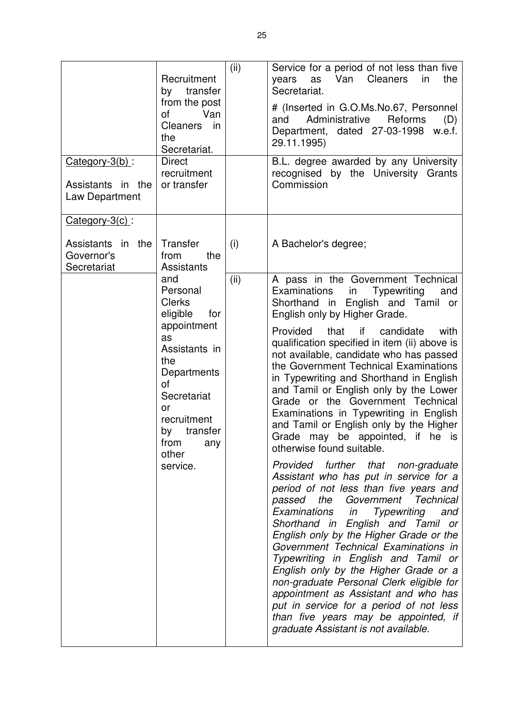| $Category-3(b)$ :<br>Assistants in the<br>Law Department            | Recruitment<br>transfer<br>by<br>from the post<br>0f<br>Van<br>Cleaners<br>in<br>the<br>Secretariat.<br><b>Direct</b><br>recruitment<br>or transfer                                                             | (ii) | Service for a period of not less than five<br>Van<br><b>Cleaners</b><br>the<br>years<br>as<br>in<br>Secretariat.<br># (Inserted in G.O.Ms.No.67, Personnel<br>Administrative<br>Reforms<br>and<br>(D)<br>Department, dated 27-03-1998<br>w.e.f.<br>29.11.1995)<br>B.L. degree awarded by any University<br>recognised by the University Grants<br>Commission                                                                                                                                                                                                                                                                                                                                                                                                                                                                                                                                                                                                                                                                                                                                                                                                                                                                                                               |
|---------------------------------------------------------------------|-----------------------------------------------------------------------------------------------------------------------------------------------------------------------------------------------------------------|------|----------------------------------------------------------------------------------------------------------------------------------------------------------------------------------------------------------------------------------------------------------------------------------------------------------------------------------------------------------------------------------------------------------------------------------------------------------------------------------------------------------------------------------------------------------------------------------------------------------------------------------------------------------------------------------------------------------------------------------------------------------------------------------------------------------------------------------------------------------------------------------------------------------------------------------------------------------------------------------------------------------------------------------------------------------------------------------------------------------------------------------------------------------------------------------------------------------------------------------------------------------------------------|
| Category-3(c):<br>in the<br>Assistants<br>Governor's<br>Secretariat | Transfer<br>from<br>the<br><b>Assistants</b>                                                                                                                                                                    | (i)  | A Bachelor's degree;                                                                                                                                                                                                                                                                                                                                                                                                                                                                                                                                                                                                                                                                                                                                                                                                                                                                                                                                                                                                                                                                                                                                                                                                                                                       |
|                                                                     | and<br>Personal<br><b>Clerks</b><br>eligible<br>for<br>appointment<br>as<br>Assistants in<br>the<br>Departments<br>οf<br>Secretariat<br>or<br>recruitment<br>transfer<br>by<br>from<br>any<br>other<br>service. | (ii) | A pass in the Government Technical<br><b>Examinations</b><br><b>Typewriting</b><br>in<br>and<br>Shorthand in English and Tamil or<br>English only by Higher Grade.<br>Provided<br>that<br>if<br>candidate<br>with<br>qualification specified in item (ii) above is<br>not available, candidate who has passed<br>the Government Technical Examinations<br>in Typewriting and Shorthand in English<br>and Tamil or English only by the Lower<br>Grade or the Government Technical<br>Examinations in Typewriting in English<br>and Tamil or English only by the Higher<br>Grade may be appointed, if he is<br>otherwise found suitable.<br>Provided further that non-graduate<br>Assistant who has put in service for a<br>period of not less than five years and<br>passed the Government Technical<br>Examinations in<br><b>Typewriting</b><br>and<br>Shorthand in English and Tamil or<br>English only by the Higher Grade or the<br>Government Technical Examinations in<br>Typewriting in English and Tamil or<br>English only by the Higher Grade or a<br>non-graduate Personal Clerk eligible for<br>appointment as Assistant and who has<br>put in service for a period of not less<br>than five years may be appointed, if<br>graduate Assistant is not available. |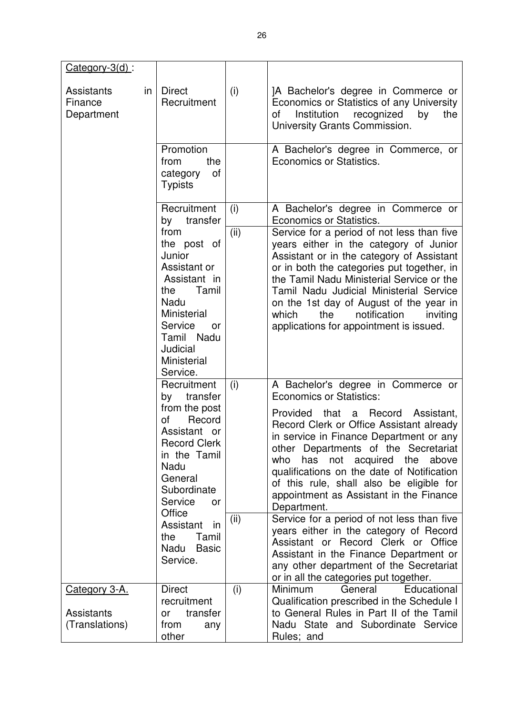| $Category-3(d)$ :                          |                                                                     |                                                                                                                                                                                          |                                                                                                                                                                                                                                                            |                                                                                                                                                                                                                                                                                                                                                                                                           |
|--------------------------------------------|---------------------------------------------------------------------|------------------------------------------------------------------------------------------------------------------------------------------------------------------------------------------|------------------------------------------------------------------------------------------------------------------------------------------------------------------------------------------------------------------------------------------------------------|-----------------------------------------------------------------------------------------------------------------------------------------------------------------------------------------------------------------------------------------------------------------------------------------------------------------------------------------------------------------------------------------------------------|
| <b>Assistants</b><br>Finance<br>Department | in                                                                  | <b>Direct</b><br>Recruitment                                                                                                                                                             | (i)                                                                                                                                                                                                                                                        | JA Bachelor's degree in Commerce or<br>Economics or Statistics of any University<br>Institution<br>οf<br>recognized<br>by<br>the<br>University Grants Commission.                                                                                                                                                                                                                                         |
|                                            |                                                                     | Promotion<br>from<br>the<br>category<br>οf<br><b>Typists</b>                                                                                                                             |                                                                                                                                                                                                                                                            | A Bachelor's degree in Commerce, or<br>Economics or Statistics.                                                                                                                                                                                                                                                                                                                                           |
|                                            |                                                                     | Recruitment<br>transfer<br>by                                                                                                                                                            | (i)                                                                                                                                                                                                                                                        | A Bachelor's degree in Commerce or<br>Economics or Statistics.                                                                                                                                                                                                                                                                                                                                            |
|                                            |                                                                     | from<br>the post of<br>Junior<br>Assistant or<br>Assistant in<br>Tamil<br>the<br>Nadu<br><b>Ministerial</b><br>Service<br>or<br>Tamil Nadu<br>Judicial<br><b>Ministerial</b><br>Service. | (ii)                                                                                                                                                                                                                                                       | Service for a period of not less than five<br>years either in the category of Junior<br>Assistant or in the category of Assistant<br>or in both the categories put together, in<br>the Tamil Nadu Ministerial Service or the<br>Tamil Nadu Judicial Ministerial Service<br>on the 1st day of August of the year in<br>which<br>the<br>notification<br>inviting<br>applications for appointment is issued. |
|                                            |                                                                     | Recruitment<br>transfer<br>by                                                                                                                                                            | (i)                                                                                                                                                                                                                                                        | A Bachelor's degree in Commerce or<br><b>Economics or Statistics:</b>                                                                                                                                                                                                                                                                                                                                     |
|                                            |                                                                     | from the post<br>οf<br>Record<br>Assistant or<br><b>Record Clerk</b><br>in the Tamil<br>Nadu<br>General<br>Subordinate<br>Service<br>or<br>Office                                        |                                                                                                                                                                                                                                                            | Provided that<br>Record<br>Assistant,<br>a<br>Record Clerk or Office Assistant already<br>in service in Finance Department or any<br>other Departments of the Secretariat<br>who<br>has not acquired<br>above<br>the<br>qualifications on the date of Notification<br>of this rule, shall also be eligible for<br>appointment as Assistant in the Finance<br>Department.                                  |
|                                            | Assistant<br>in<br>the<br>Tamil<br>Nadu<br><b>Basic</b><br>Service. | (ii)                                                                                                                                                                                     | Service for a period of not less than five<br>years either in the category of Record<br>Assistant or Record Clerk or Office<br>Assistant in the Finance Department or<br>any other department of the Secretariat<br>or in all the categories put together. |                                                                                                                                                                                                                                                                                                                                                                                                           |
| <u>Category 3-A.</u>                       |                                                                     | <b>Direct</b><br>recruitment                                                                                                                                                             | (i)                                                                                                                                                                                                                                                        | Minimum<br>Educational<br>General<br>Qualification prescribed in the Schedule I                                                                                                                                                                                                                                                                                                                           |
| <b>Assistants</b><br>(Translations)        |                                                                     | transfer<br>0r<br>from<br>any<br>other                                                                                                                                                   |                                                                                                                                                                                                                                                            | to General Rules in Part II of the Tamil<br>Nadu State and Subordinate Service<br>Rules; and                                                                                                                                                                                                                                                                                                              |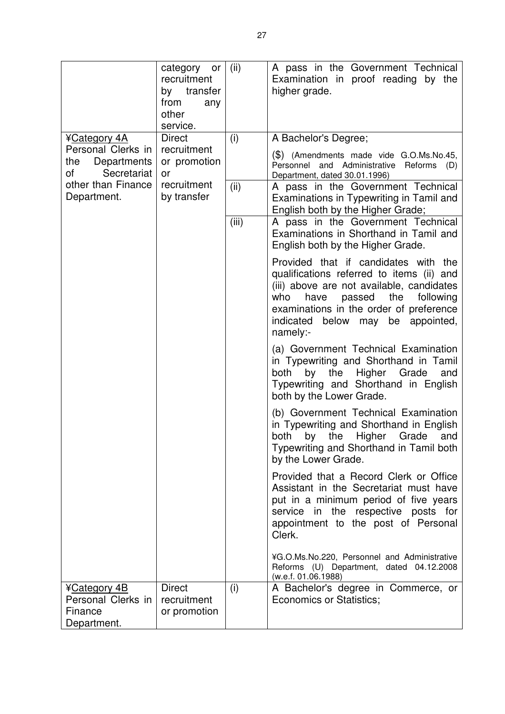|                                                              | category or<br>recruitment<br>by transfer<br>from<br>any<br>other<br>service. | (ii)  | A pass in the Government Technical<br>Examination in proof reading by the<br>higher grade.                                                                                                                                                                                    |
|--------------------------------------------------------------|-------------------------------------------------------------------------------|-------|-------------------------------------------------------------------------------------------------------------------------------------------------------------------------------------------------------------------------------------------------------------------------------|
| ¥Category 4A<br>Personal Clerks in                           | <b>Direct</b><br>recruitment                                                  | (i)   | A Bachelor's Degree;                                                                                                                                                                                                                                                          |
| Departments<br>the<br>οf<br>Secretariat                      | or promotion<br>or                                                            |       | $(\$)$ (Amendments made vide G.O.Ms.No.45,<br>Personnel and Administrative Reforms<br>(D)<br>Department, dated 30.01.1996)                                                                                                                                                    |
| other than Finance<br>Department.                            | recruitment<br>by transfer                                                    | (ii)  | A pass in the Government Technical<br>Examinations in Typewriting in Tamil and<br>English both by the Higher Grade;                                                                                                                                                           |
|                                                              |                                                                               | (iii) | A pass in the Government Technical<br>Examinations in Shorthand in Tamil and<br>English both by the Higher Grade.                                                                                                                                                             |
|                                                              |                                                                               |       | Provided that if candidates with the<br>qualifications referred to items (ii) and<br>(iii) above are not available, candidates<br>passed<br>the<br>following<br>who<br>have<br>examinations in the order of preference<br>may be appointed,<br>indicated<br>below<br>namely:- |
|                                                              |                                                                               |       | (a) Government Technical Examination<br>in Typewriting and Shorthand in Tamil<br>both<br>by<br>the<br>Higher<br>Grade<br>and<br>Typewriting and Shorthand in English<br>both by the Lower Grade.                                                                              |
|                                                              |                                                                               |       | (b) Government Technical Examination<br>in Typewriting and Shorthand in English<br>both<br>the<br>Higher<br>Grade<br>by<br>and<br>Typewriting and Shorthand in Tamil both<br>by the Lower Grade.                                                                              |
|                                                              |                                                                               |       | Provided that a Record Clerk or Office<br>Assistant in the Secretariat must have<br>put in a minimum period of five years<br>service in the respective posts for<br>appointment to the post of Personal<br>Clerk.                                                             |
|                                                              |                                                                               |       | ¥G.O.Ms.No.220, Personnel and Administrative<br>Reforms (U) Department, dated 04.12.2008<br>(w.e.f. 01.06.1988)                                                                                                                                                               |
| ¥Category 4B<br>Personal Clerks in<br>Finance<br>Department. | <b>Direct</b><br>recruitment<br>or promotion                                  | (i)   | A Bachelor's degree in Commerce, or<br>Economics or Statistics;                                                                                                                                                                                                               |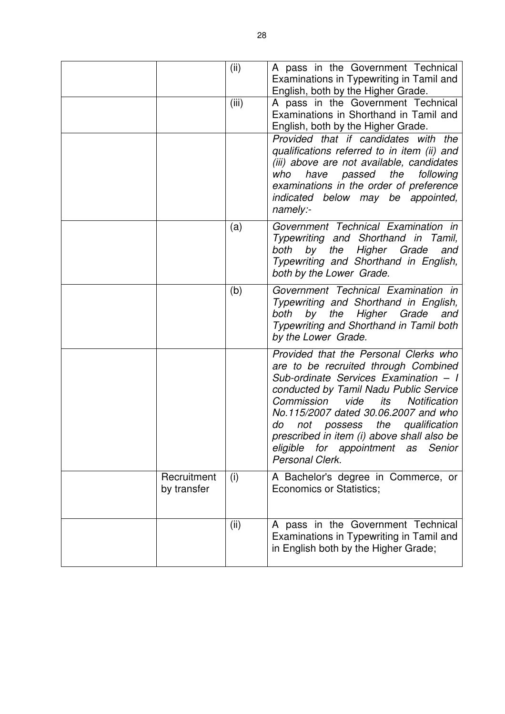|                            | (ii)  | A pass in the Government Technical<br>Examinations in Typewriting in Tamil and                                                                                                                                                                                                                                                                                                                             |
|----------------------------|-------|------------------------------------------------------------------------------------------------------------------------------------------------------------------------------------------------------------------------------------------------------------------------------------------------------------------------------------------------------------------------------------------------------------|
|                            |       | English, both by the Higher Grade.                                                                                                                                                                                                                                                                                                                                                                         |
|                            | (iii) | A pass in the Government Technical<br>Examinations in Shorthand in Tamil and<br>English, both by the Higher Grade.                                                                                                                                                                                                                                                                                         |
|                            |       | Provided that if candidates with the<br>qualifications referred to in item (ii) and<br>(iii) above are not available, candidates<br>who have passed the following<br>examinations in the order of preference<br>indicated below may be appointed,<br>namely:-                                                                                                                                              |
|                            | (a)   | Government Technical Examination in<br>Typewriting and Shorthand in Tamil,<br>by the<br>Higher Grade<br>both<br>and<br>Typewriting and Shorthand in English,<br>both by the Lower Grade.                                                                                                                                                                                                                   |
|                            | (b)   | Government Technical Examination in<br>Typewriting and Shorthand in English,<br>by<br>Higher Grade<br>both<br>the<br>and<br>Typewriting and Shorthand in Tamil both<br>by the Lower Grade.                                                                                                                                                                                                                 |
|                            |       | Provided that the Personal Clerks who<br>are to be recruited through Combined<br>Sub-ordinate Services Examination - I<br>conducted by Tamil Nadu Public Service<br>Commission<br>vide<br>its<br><b>Notification</b><br>No.115/2007 dated 30.06.2007 and who<br>not possess the qualification<br>do<br>prescribed in item (i) above shall also be<br>eligible for appointment as Senior<br>Personal Clerk. |
| Recruitment<br>by transfer | (i)   | A Bachelor's degree in Commerce, or<br>Economics or Statistics;                                                                                                                                                                                                                                                                                                                                            |
|                            | (ii)  | A pass in the Government Technical<br>Examinations in Typewriting in Tamil and<br>in English both by the Higher Grade;                                                                                                                                                                                                                                                                                     |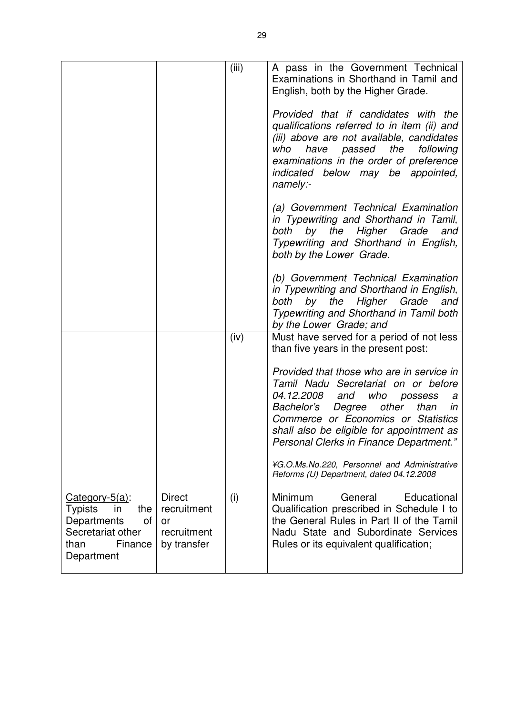|                                                                                                                             |                                                                  | (iii) | A pass in the Government Technical<br>Examinations in Shorthand in Tamil and<br>English, both by the Higher Grade.                                                                                                                                                                                             |
|-----------------------------------------------------------------------------------------------------------------------------|------------------------------------------------------------------|-------|----------------------------------------------------------------------------------------------------------------------------------------------------------------------------------------------------------------------------------------------------------------------------------------------------------------|
|                                                                                                                             |                                                                  |       | Provided that if candidates with the<br>qualifications referred to in item (ii) and<br>(iii) above are not available, candidates<br>the<br>have<br>passed<br>following<br>who<br>examinations in the order of preference<br>indicated below may be appointed,<br>namely:-                                      |
|                                                                                                                             |                                                                  |       | (a) Government Technical Examination<br>in Typewriting and Shorthand in Tamil,<br>by<br>the<br>Higher<br>Grade<br>both<br>and<br>Typewriting and Shorthand in English,<br>both by the Lower Grade.                                                                                                             |
|                                                                                                                             |                                                                  |       | (b) Government Technical Examination<br>in Typewriting and Shorthand in English,<br>by the<br>Higher Grade<br>both<br>and<br>Typewriting and Shorthand in Tamil both<br>by the Lower Grade; and                                                                                                                |
|                                                                                                                             |                                                                  | (iv)  | Must have served for a period of not less<br>than five years in the present post:                                                                                                                                                                                                                              |
|                                                                                                                             |                                                                  |       | Provided that those who are in service in<br>Tamil Nadu Secretariat on or before<br><i>04.12.2008</i><br>and<br>who<br>possess<br>a<br>other<br>Bachelor's Degree<br>than<br>in<br>Commerce or Economics or Statistics<br>shall also be eligible for appointment as<br>Personal Clerks in Finance Department." |
|                                                                                                                             |                                                                  |       | ¥G.O.Ms.No.220, Personnel and Administrative<br>Reforms (U) Department, dated 04.12.2008                                                                                                                                                                                                                       |
| $Category-5(a)$ :<br><b>Typists</b><br>the<br>in<br>Departments<br>οf<br>Secretariat other<br>than<br>Finance<br>Department | <b>Direct</b><br>recruitment<br>or<br>recruitment<br>by transfer | (i)   | Minimum<br>General<br>Educational<br>Qualification prescribed in Schedule I to<br>the General Rules in Part II of the Tamil<br>Nadu State and Subordinate Services<br>Rules or its equivalent qualification;                                                                                                   |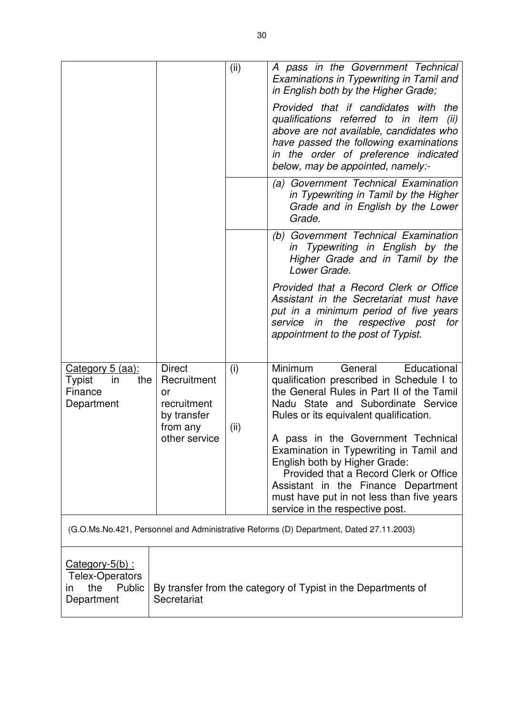|                                                                                                                                                                   |                                                                              | (ii)        | A pass in the Government Technical<br>Examinations in Typewriting in Tamil and<br>in English both by the Higher Grade;                                                                                                                                                          |
|-------------------------------------------------------------------------------------------------------------------------------------------------------------------|------------------------------------------------------------------------------|-------------|---------------------------------------------------------------------------------------------------------------------------------------------------------------------------------------------------------------------------------------------------------------------------------|
|                                                                                                                                                                   |                                                                              |             | Provided that if candidates with the<br>qualifications referred to in item<br>(ii)<br>above are not available, candidates who<br>have passed the following examinations<br>in the order of preference indicated<br>below, may be appointed, namely:-                            |
|                                                                                                                                                                   |                                                                              |             | Government Technical Examination<br>(a)<br>in Typewriting in Tamil by the Higher<br>Grade and in English by the Lower<br>Grade.                                                                                                                                                 |
|                                                                                                                                                                   |                                                                              |             | (b) Government Technical Examination<br>in Typewriting in English by the<br>Higher Grade and in Tamil by the<br>Lower Grade.                                                                                                                                                    |
|                                                                                                                                                                   |                                                                              |             | Provided that a Record Clerk or Office<br>Assistant in the Secretariat must have<br>put in a minimum period of five years<br>the respective post<br>service<br>in<br>for<br>appointment to the post of Typist.                                                                  |
| Category 5 (aa):<br>Typist<br>in<br>the<br>Finance<br>Department                                                                                                  | <b>Direct</b><br>Recruitment<br>or<br>recruitment<br>by transfer<br>from any | (i)<br>(ii) | Minimum<br>General<br>Educational<br>qualification prescribed in Schedule I to<br>the General Rules in Part II of the Tamil<br>Nadu State and Subordinate Service<br>Rules or its equivalent qualification.                                                                     |
|                                                                                                                                                                   | other service                                                                |             | A pass in the Government Technical<br>Examination in Typewriting in Tamil and<br>English both by Higher Grade:<br>Provided that a Record Clerk or Office<br>Assistant in the Finance Department<br>must have put in not less than five years<br>service in the respective post. |
| (G.O.Ms.No.421, Personnel and Administrative Reforms (D) Department, Dated 27.11.2003)                                                                            |                                                                              |             |                                                                                                                                                                                                                                                                                 |
| $Category-5(b)$ :<br><b>Telex-Operators</b><br>the<br>Public<br>By transfer from the category of Typist in the Departments of<br>in.<br>Secretariat<br>Department |                                                                              |             |                                                                                                                                                                                                                                                                                 |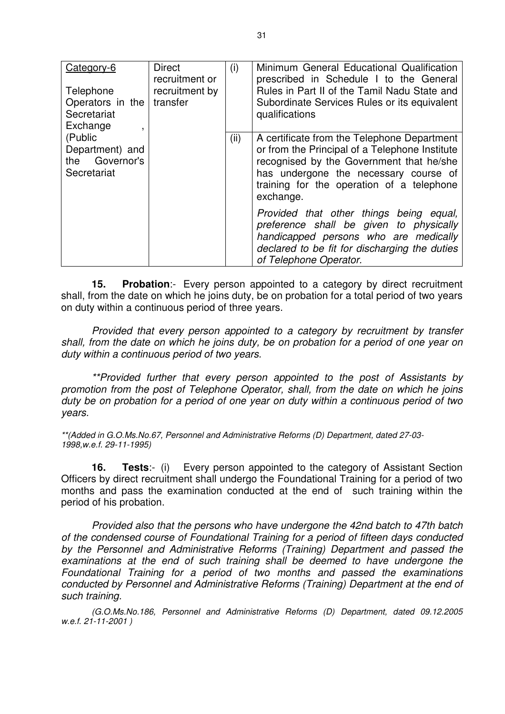| Category-6<br>Telephone<br>Operators in the<br>Secretariat<br>Exchange<br>$\overline{\phantom{a}}$ | <b>Direct</b><br>recruitment or<br>recruitment by<br>transfer | (i)  | Minimum General Educational Qualification<br>prescribed in Schedule I to the General<br>Rules in Part II of the Tamil Nadu State and<br>Subordinate Services Rules or its equivalent<br>qualifications                                       |
|----------------------------------------------------------------------------------------------------|---------------------------------------------------------------|------|----------------------------------------------------------------------------------------------------------------------------------------------------------------------------------------------------------------------------------------------|
| (Public<br>Department) and<br>the Governor's<br>Secretariat                                        |                                                               | (ii) | A certificate from the Telephone Department<br>or from the Principal of a Telephone Institute<br>recognised by the Government that he/she<br>has undergone the necessary course of<br>training for the operation of a telephone<br>exchange. |
|                                                                                                    |                                                               |      | Provided that other things being equal,<br>preference shall be given to physically<br>handicapped persons who are medically<br>declared to be fit for discharging the duties<br>of Telephone Operator.                                       |

**15. Probation**:- Every person appointed to a category by direct recruitment shall, from the date on which he joins duty, be on probation for a total period of two years on duty within a continuous period of three years.

Provided that every person appointed to a category by recruitment by transfer shall, from the date on which he joins duty, be on probation for a period of one year on duty within a continuous period of two years.

 \*\*Provided further that every person appointed to the post of Assistants by promotion from the post of Telephone Operator, shall, from the date on which he joins duty be on probation for a period of one year on duty within a continuous period of two years.

\*\*(Added in G.O.Ms.No.67, Personnel and Administrative Reforms (D) Department, dated 27-03- 1998,w.e.f. 29-11-1995)

**16. Tests**:- (i) Every person appointed to the category of Assistant Section Officers by direct recruitment shall undergo the Foundational Training for a period of two months and pass the examination conducted at the end of such training within the period of his probation.

Provided also that the persons who have undergone the 42nd batch to 47th batch of the condensed course of Foundational Training for a period of fifteen days conducted by the Personnel and Administrative Reforms (Training) Department and passed the examinations at the end of such training shall be deemed to have undergone the Foundational Training for a period of two months and passed the examinations conducted by Personnel and Administrative Reforms (Training) Department at the end of such training.

(G.O.Ms.No.186, Personnel and Administrative Reforms (D) Department, dated 09.12.2005 w.e.f. 21-11-2001 )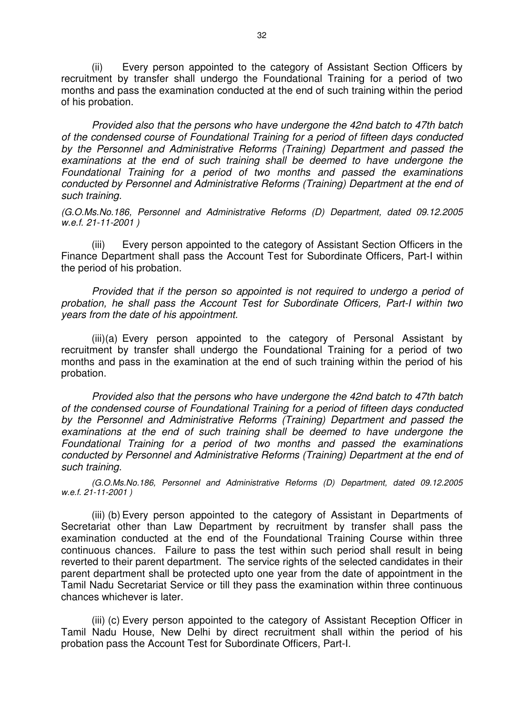(ii) Every person appointed to the category of Assistant Section Officers by recruitment by transfer shall undergo the Foundational Training for a period of two months and pass the examination conducted at the end of such training within the period of his probation.

Provided also that the persons who have undergone the 42nd batch to 47th batch of the condensed course of Foundational Training for a period of fifteen days conducted by the Personnel and Administrative Reforms (Training) Department and passed the examinations at the end of such training shall be deemed to have undergone the Foundational Training for a period of two months and passed the examinations conducted by Personnel and Administrative Reforms (Training) Department at the end of such training.

(G.O.Ms.No.186, Personnel and Administrative Reforms (D) Department, dated 09.12.2005 w.e.f. 21-11-2001 )

 (iii) Every person appointed to the category of Assistant Section Officers in the Finance Department shall pass the Account Test for Subordinate Officers, Part-I within the period of his probation.

Provided that if the person so appointed is not required to undergo a period of probation, he shall pass the Account Test for Subordinate Officers, Part-I within two years from the date of his appointment.

 (iii)(a) Every person appointed to the category of Personal Assistant by recruitment by transfer shall undergo the Foundational Training for a period of two months and pass in the examination at the end of such training within the period of his probation.

Provided also that the persons who have undergone the 42nd batch to 47th batch of the condensed course of Foundational Training for a period of fifteen days conducted by the Personnel and Administrative Reforms (Training) Department and passed the examinations at the end of such training shall be deemed to have undergone the Foundational Training for a period of two months and passed the examinations conducted by Personnel and Administrative Reforms (Training) Department at the end of such training.

(G.O.Ms.No.186, Personnel and Administrative Reforms (D) Department, dated 09.12.2005 w.e.f. 21-11-2001 )

 (iii) (b) Every person appointed to the category of Assistant in Departments of Secretariat other than Law Department by recruitment by transfer shall pass the examination conducted at the end of the Foundational Training Course within three continuous chances. Failure to pass the test within such period shall result in being reverted to their parent department. The service rights of the selected candidates in their parent department shall be protected upto one year from the date of appointment in the Tamil Nadu Secretariat Service or till they pass the examination within three continuous chances whichever is later.

 (iii) (c) Every person appointed to the category of Assistant Reception Officer in Tamil Nadu House, New Delhi by direct recruitment shall within the period of his probation pass the Account Test for Subordinate Officers, Part-I.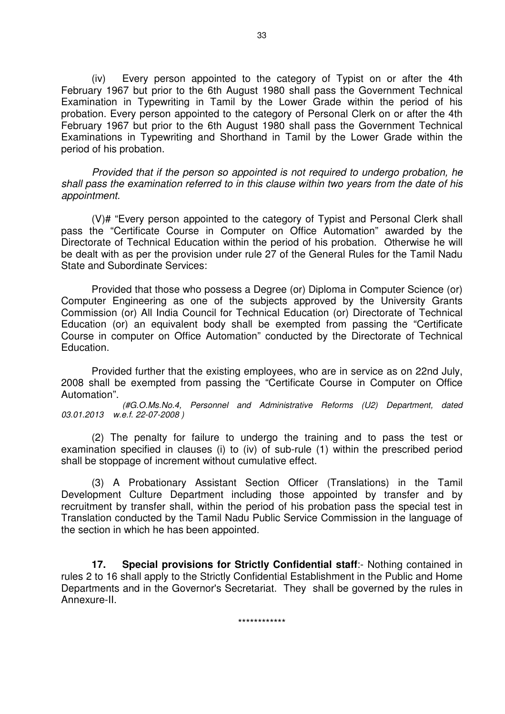(iv) Every person appointed to the category of Typist on or after the 4th February 1967 but prior to the 6th August 1980 shall pass the Government Technical Examination in Typewriting in Tamil by the Lower Grade within the period of his probation. Every person appointed to the category of Personal Clerk on or after the 4th February 1967 but prior to the 6th August 1980 shall pass the Government Technical Examinations in Typewriting and Shorthand in Tamil by the Lower Grade within the period of his probation.

Provided that if the person so appointed is not required to undergo probation, he shall pass the examination referred to in this clause within two years from the date of his appointment.

(V)# "Every person appointed to the category of Typist and Personal Clerk shall pass the "Certificate Course in Computer on Office Automation" awarded by the Directorate of Technical Education within the period of his probation. Otherwise he will be dealt with as per the provision under rule 27 of the General Rules for the Tamil Nadu State and Subordinate Services:

 Provided that those who possess a Degree (or) Diploma in Computer Science (or) Computer Engineering as one of the subjects approved by the University Grants Commission (or) All India Council for Technical Education (or) Directorate of Technical Education (or) an equivalent body shall be exempted from passing the "Certificate Course in computer on Office Automation" conducted by the Directorate of Technical Education.

 Provided further that the existing employees, who are in service as on 22nd July, 2008 shall be exempted from passing the "Certificate Course in Computer on Office Automation".

(#G.O.Ms.No.4, Personnel and Administrative Reforms (U2) Department, dated 03.01.2013 w.e.f. 22-07-2008 )

 (2) The penalty for failure to undergo the training and to pass the test or examination specified in clauses (i) to (iv) of sub-rule (1) within the prescribed period shall be stoppage of increment without cumulative effect.

 (3) A Probationary Assistant Section Officer (Translations) in the Tamil Development Culture Department including those appointed by transfer and by recruitment by transfer shall, within the period of his probation pass the special test in Translation conducted by the Tamil Nadu Public Service Commission in the language of the section in which he has been appointed.

**17. Special provisions for Strictly Confidential staff**:- Nothing contained in rules 2 to 16 shall apply to the Strictly Confidential Establishment in the Public and Home Departments and in the Governor's Secretariat. They shall be governed by the rules in Annexure-II.

\*\*\*\*\*\*\*\*\*\*\*\*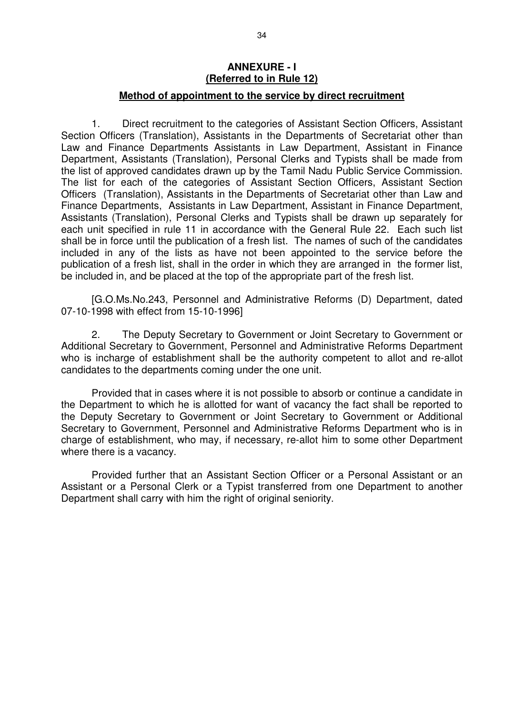#### **ANNEXURE - I (Referred to in Rule 12)**

#### **Method of appointment to the service by direct recruitment**

 1. Direct recruitment to the categories of Assistant Section Officers, Assistant Section Officers (Translation), Assistants in the Departments of Secretariat other than Law and Finance Departments Assistants in Law Department, Assistant in Finance Department, Assistants (Translation), Personal Clerks and Typists shall be made from the list of approved candidates drawn up by the Tamil Nadu Public Service Commission. The list for each of the categories of Assistant Section Officers, Assistant Section Officers (Translation), Assistants in the Departments of Secretariat other than Law and Finance Departments, Assistants in Law Department, Assistant in Finance Department, Assistants (Translation), Personal Clerks and Typists shall be drawn up separately for each unit specified in rule 11 in accordance with the General Rule 22. Each such list shall be in force until the publication of a fresh list. The names of such of the candidates included in any of the lists as have not been appointed to the service before the publication of a fresh list, shall in the order in which they are arranged in the former list, be included in, and be placed at the top of the appropriate part of the fresh list.

 [G.O.Ms.No.243, Personnel and Administrative Reforms (D) Department, dated 07-10-1998 with effect from 15-10-1996]

 2. The Deputy Secretary to Government or Joint Secretary to Government or Additional Secretary to Government, Personnel and Administrative Reforms Department who is incharge of establishment shall be the authority competent to allot and re-allot candidates to the departments coming under the one unit.

 Provided that in cases where it is not possible to absorb or continue a candidate in the Department to which he is allotted for want of vacancy the fact shall be reported to the Deputy Secretary to Government or Joint Secretary to Government or Additional Secretary to Government, Personnel and Administrative Reforms Department who is in charge of establishment, who may, if necessary, re-allot him to some other Department where there is a vacancy.

 Provided further that an Assistant Section Officer or a Personal Assistant or an Assistant or a Personal Clerk or a Typist transferred from one Department to another Department shall carry with him the right of original seniority.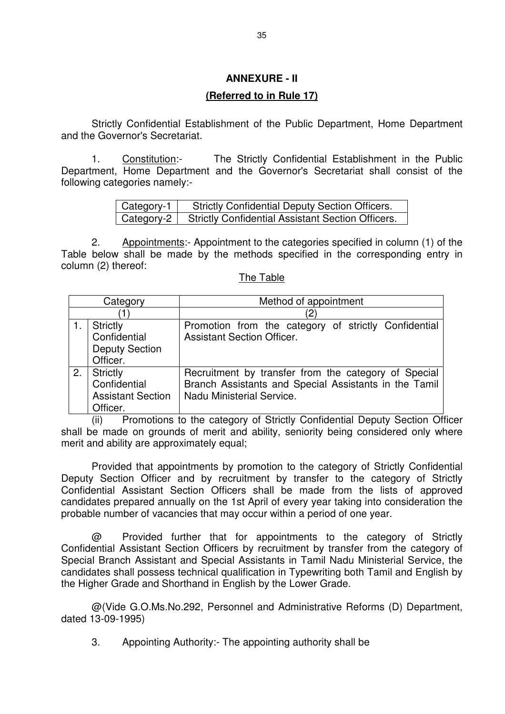### **ANNEXURE - II**

#### **(Referred to in Rule 17)**

 Strictly Confidential Establishment of the Public Department, Home Department and the Governor's Secretariat.

 1. Constitution:- The Strictly Confidential Establishment in the Public Department, Home Department and the Governor's Secretariat shall consist of the following categories namely:-

| Category-1 $ $ | <b>Strictly Confidential Deputy Section Officers.</b>          |
|----------------|----------------------------------------------------------------|
|                | Category-2   Strictly Confidential Assistant Section Officers. |

 2. Appointments:- Appointment to the categories specified in column (1) of the Table below shall be made by the methods specified in the corresponding entry in column (2) thereof:

The Table

| Category |                                                                         | Method of appointment                                                                                                                      |  |  |  |
|----------|-------------------------------------------------------------------------|--------------------------------------------------------------------------------------------------------------------------------------------|--|--|--|
|          |                                                                         | $2 \,$                                                                                                                                     |  |  |  |
|          | <b>Strictly</b><br>Confidential<br><b>Deputy Section</b><br>Officer.    | Promotion from the category of strictly Confidential<br><b>Assistant Section Officer.</b>                                                  |  |  |  |
| 2.       | <b>Strictly</b><br>Confidential<br><b>Assistant Section</b><br>Officer. | Recruitment by transfer from the category of Special<br>Branch Assistants and Special Assistants in the Tamil<br>Nadu Ministerial Service. |  |  |  |

(ii) Promotions to the category of Strictly Confidential Deputy Section Officer shall be made on grounds of merit and ability, seniority being considered only where merit and ability are approximately equal;

Provided that appointments by promotion to the category of Strictly Confidential Deputy Section Officer and by recruitment by transfer to the category of Strictly Confidential Assistant Section Officers shall be made from the lists of approved candidates prepared annually on the 1st April of every year taking into consideration the probable number of vacancies that may occur within a period of one year.

@ Provided further that for appointments to the category of Strictly Confidential Assistant Section Officers by recruitment by transfer from the category of Special Branch Assistant and Special Assistants in Tamil Nadu Ministerial Service, the candidates shall possess technical qualification in Typewriting both Tamil and English by the Higher Grade and Shorthand in English by the Lower Grade.

@(Vide G.O.Ms.No.292, Personnel and Administrative Reforms (D) Department, dated 13-09-1995)

3. Appointing Authority:- The appointing authority shall be